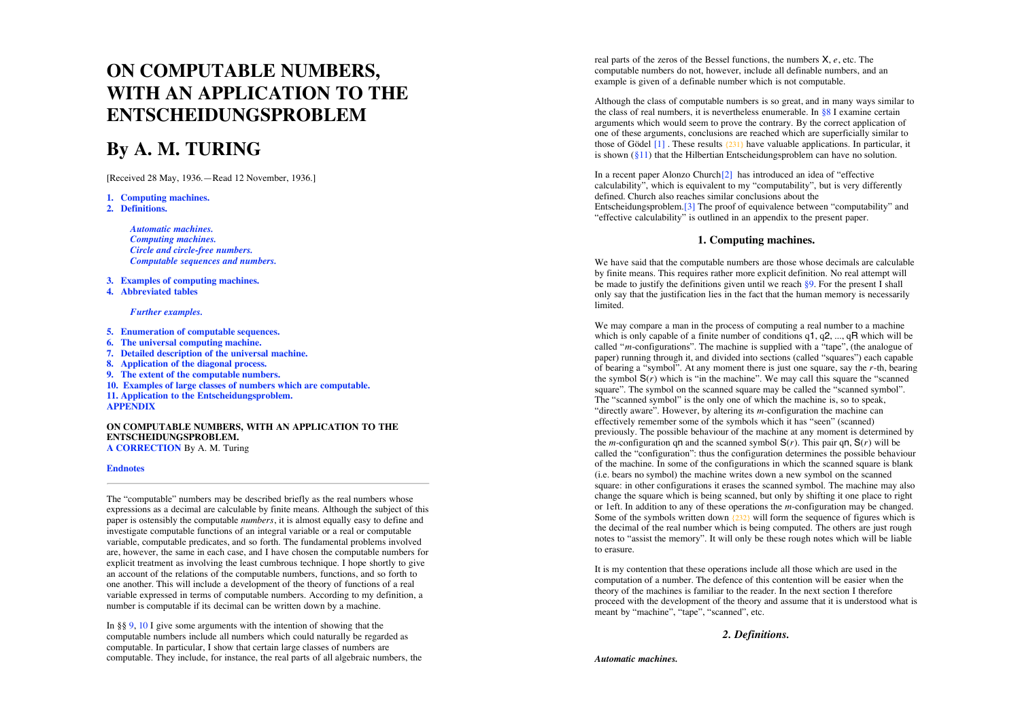# **ON COMPUTABLE NUMBERS, WITH AN APPLICATION TO THE ENTSCHEIDUNGSPROBLEM**

# **By A. M. TURING**

[Received 28 May, 1936.—Read 12 November, 1936.]

**1. Computing machines.**

**2. Definitions.**

*Automatic machines. Computing machines. Circle and circle-free numbers. Computable sequences and numbers.*

### **3. Examples of computing machines.**

**4. Abbreviated tables**

#### *Further examples.*

**5. Enumeration of computable sequences.**

- **6. The universal computing machine.**
- **7. Detailed description of the universal machine.**
- **8. Application of the diagonal process.**
- **9. The extent of the computable numbers.**
- **10. Examples of large classes of numbers which are computable.**

**11. Application to the Entscheidungsproblem. APPENDIX**

### **ON COMPUTABLE NUMBERS, WITH AN APPLICATION TO THE ENTSCHEIDUNGSPROBLEM.**

**A CORRECTION** By A. M. Turing

#### **Endnotes**

The "computable" numbers may be described briefly as the real numbers whose expressions as a decimal are calculable by finite means. Although the subject of this paper is ostensibly the computable *numbers*, it is almost equally easy to define and investigate computable functions of an integral variable or a real or computable variable, computable predicates, and so forth. The fundamental problems involved are, however, the same in each case, and I have chosen the computable numbers for explicit treatment as involving the least cumbrous technique. I hope shortly to give an account of the relations of the computable numbers, functions, and so forth to one another. This will include a development of the theory of functions of a real variable expressed in terms of computable numbers. According to my definition, a number is computable if its decimal can be written down by a machine.

In §§ 9, 10 I give some arguments with the intention of showing that the computable numbers include all numbers which could naturally be regarded as computable. In particular, I show that certain large classes of numbers are computable. They include, for instance, the real parts of all algebraic numbers, the

real parts of the zeros of the Bessel functions, the numbers X, *e*, etc. The computable numbers do not, however, include all definable numbers, and an example is given of a definable number which is not computable.

Although the class of computable numbers is so great, and in many ways similar to the class of real numbers, it is nevertheless enumerable. In §8 I examine certain arguments which would seem to prove the contrary. By the correct application of one of these arguments, conclusions are reached which are superficially similar to those of Gödel  $[1]$ . These results {231} have valuable applications. In particular, it is shown  $(\S11)$  that the Hilbertian Entscheidungsproblem can have no solution.

In a recent paper Alonzo Church[2] has introduced an idea of "effective calculability", which is equivalent to my "computability", but is very differently defined. Church also reaches similar conclusions about the Entscheidungsproblem.[3] The proof of equivalence between "computability" and "effective calculability" is outlined in an appendix to the present paper.

### **1. Computing machines.**

We have said that the computable numbers are those whose decimals are calculable by finite means. This requires rather more explicit definition. No real attempt will be made to justify the definitions given until we reach §9. For the present I shall only say that the justification lies in the fact that the human memory is necessarily limited.

We may compare a man in the process of computing a real number to a machine which is only capable of a finite number of conditions q1, q2, ..., qR which will be called "*m*-configurations". The machine is supplied with a "tape", (the analogue of paper) running through it, and divided into sections (called "squares") each capable of bearing a "symbol". At any moment there is just one square, say the *r*-th, bearing the symbol  $S(r)$  which is "in the machine". We may call this square the "scanned" square". The symbol on the scanned square may be called the "scanned symbol". The "scanned symbol" is the only one of which the machine is, so to speak, "directly aware". However, by altering its *m*-configuration the machine can effectively remember some of the symbols which it has "seen" (scanned) previously. The possible behaviour of the machine at any moment is determined by the *m*-configuration qn and the scanned symbol  $S(r)$ . This pair qn,  $S(r)$  will be called the "configuration": thus the configuration determines the possible behaviour of the machine. In some of the configurations in which the scanned square is blank (i.e. bears no symbol) the machine writes down a new symbol on the scanned square: in other configurations it erases the scanned symbol. The machine may also change the square which is being scanned, but only by shifting it one place to right or 1eft. In addition to any of these operations the *m*-configuration may be changed. Some of the symbols written down  $\{232\}$  will form the sequence of figures which is the decimal of the real number which is being computed. The others are just rough notes to "assist the memory". It will only be these rough notes which will be liable to erasure.

It is my contention that these operations include all those which are used in the computation of a number. The defence of this contention will be easier when the theory of the machines is familiar to the reader. In the next section I therefore proceed with the development of the theory and assume that it is understood what is meant by "machine", "tape", "scanned", etc.

### *2. Definitions.*

*Automatic machines.*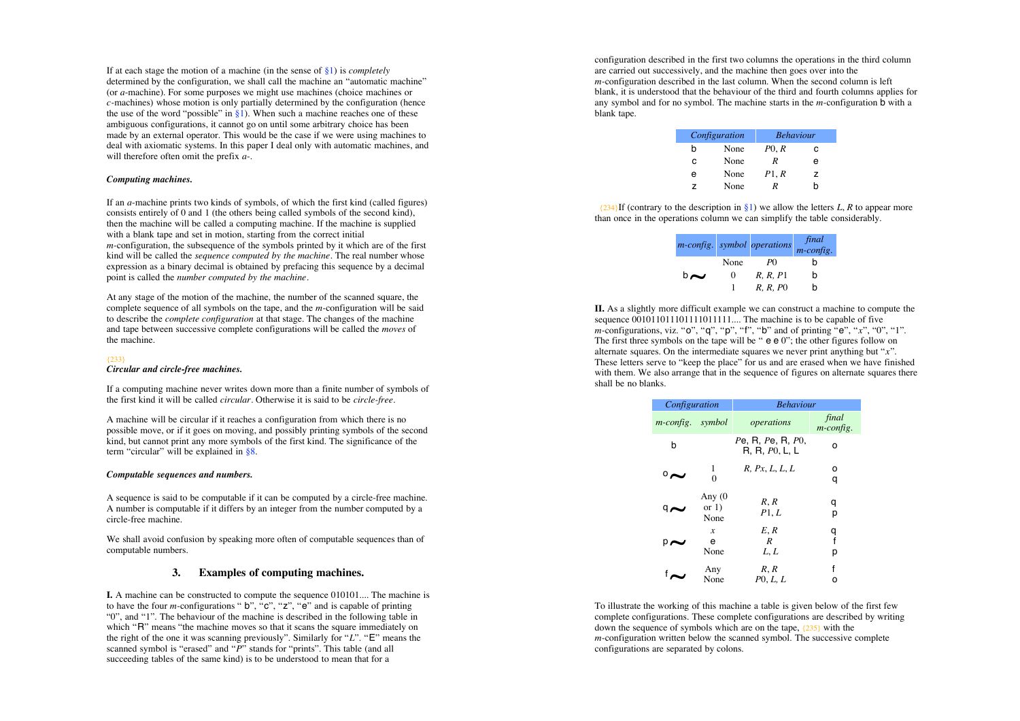If at each stage the motion of a machine (in the sense of §1) is *completely* determined by the configuration, we shall call the machine an "automatic machine" (or *a*-machine). For some purposes we might use machines (choice machines or *c*-machines) whose motion is only partially determined by the configuration (hence the use of the word "possible" in  $\S1$ ). When such a machine reaches one of these ambiguous configurations, it cannot go on until some arbitrary choice has been made by an external operator. This would be the case if we were using machines to deal with axiomatic systems. In this paper I deal only with automatic machines, and will therefore often omit the prefix *a*-.

### *Computing machines.*

If an *a*-machine prints two kinds of symbols, of which the first kind (called figures) consists entirely of 0 and 1 (the others being called symbols of the second kind), then the machine will be called a computing machine. If the machine is supplied with a blank tape and set in motion, starting from the correct initial *m*-configuration, the subsequence of the symbols printed by it which are of the first kind will be called the *sequence computed by the machine*. The real number whose expression as a binary decimal is obtained by prefacing this sequence by a decimal point is called the *number computed by the machine*.

At any stage of the motion of the machine, the number of the scanned square, the complete sequence of all symbols on the tape, and the *m*-configuration will be said to describe the *complete configuration* at that stage. The changes of the machine and tape between successive complete configurations will be called the *moves* of the machine.

#### {233}

#### *Circular and circle-free machines.*

If a computing machine never writes down more than a finite number of symbols of the first kind it will be called *circular*. Otherwise it is said to be *circle-free*.

A machine will be circular if it reaches a configuration from which there is no possible move, or if it goes on moving, and possibly printing symbols of the second kind, but cannot print any more symbols of the first kind. The significance of the term "circular" will be explained in §8.

#### *Computable sequences and numbers.*

A sequence is said to be computable if it can be computed by a circle-free machine. A number is computable if it differs by an integer from the number computed by a circle-free machine.

We shall avoid confusion by speaking more often of computable sequences than of computable numbers.

### **3. Examples of computing machines.**

**I.** A machine can be constructed to compute the sequence 010101.... The machine is to have the four *m*-configurations " $b$ ", " $c$ ", " $z$ ", " $e$ " and is capable of printing "0", and "1". The behaviour of the machine is described in the following table in which "R" means "the machine moves so that it scans the square immediately on the right of the one it was scanning previously". Similarly for "*L*". "E" means the scanned symbol is "erased" and "*P*" stands for "prints". This table (and all succeeding tables of the same kind) is to be understood to mean that for a

configuration described in the first two columns the operations in the third column are carried out successively, and the machine then goes over into the *m*-configuration described in the last column. When the second column is left blank, it is understood that the behaviour of the third and fourth columns applies for any symbol and for no symbol. The machine starts in the *m*-configuration b with a blank tape.

|    | Configuration | <b>Behaviour</b>   |   |
|----|---------------|--------------------|---|
| h  | None          | P <sub>0</sub> , R | с |
| C. | None          | R                  | е |
| e  | None          | P1, R              | 7 |
| 7  | None          | ĸ                  | h |

 ${234}$ If (contrary to the description in §1) we allow the letters *L*, *R* to appear more than once in the operations column we can simplify the table considerably.

|    |      | m-config. symbol operations | final<br>m-config. |
|----|------|-----------------------------|--------------------|
|    | None | P0                          | h                  |
| b~ | 0    | R. R. P1                    | h                  |
|    |      | R, R, P0                    | h                  |

**II.** As a slightly more difficult example we can construct a machine to compute the sequence 001011011101111011111.... The machine is to be capable of five *m*-configurations, viz. "o", "q", "p", "f", "b" and of printing "e", "*x*", "0", "1". The first three symbols on the tape will be " e e 0"; the other figures follow on alternate squares. On the intermediate squares we never print anything but "*x*". These letters serve to "keep the place" for us and are erased when we have finished with them. We also arrange that in the sequence of figures on alternate squares there shall be no blanks.

|                  | <b>Behaviour</b>                            |                       |  |
|------------------|---------------------------------------------|-----------------------|--|
| symbol           | operations                                  | final<br>$m$ -config. |  |
|                  | Pe. R. Pe. R. P0.<br>R, R, <i>P</i> 0, L, L | o                     |  |
| 1                | R, Px, L, L, L                              | ο                     |  |
|                  |                                             | q                     |  |
| Any $(0)$        | R, R                                        | q                     |  |
| None             |                                             | р                     |  |
| $\boldsymbol{x}$ | E, R                                        | q<br>f                |  |
| None             | L, L                                        | р                     |  |
| Any              | R, R                                        | f                     |  |
| None             | P0, L, L                                    | ი                     |  |
|                  | Configuration<br>$\Omega$<br>or $1)$<br>e   | P1, L<br>R            |  |

To illustrate the working of this machine a table is given below of the first few complete configurations. These complete configurations are described by writing down the sequence of symbols which are on the tape, {235} with the *m*-configuration written below the scanned symbol. The successive complete configurations are separated by colons.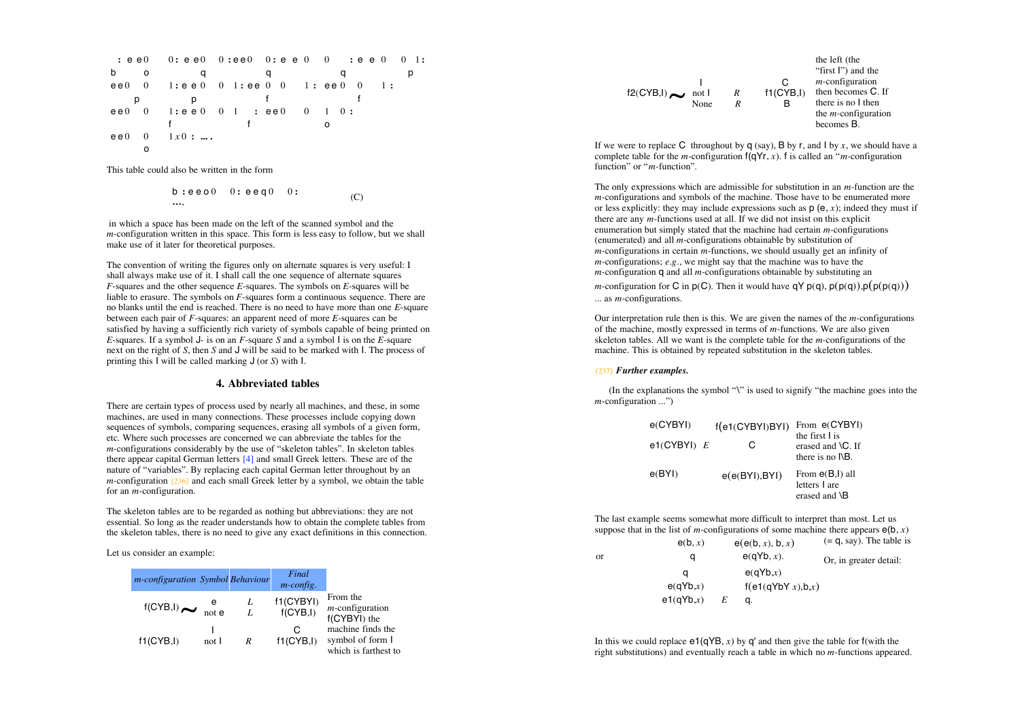**:** e e 0 0 **:** e e 0 0 **:** e e 0 0 **:** e e 0 0 **:** e e 0 0 1 **:** b o q q q p e e 0 0 1 **:** e e 0 0 1 **:** e e 0 0 1 **:** e e 0 0 1 **:** p p f f e e 0 0 1 **:** e e 0 0 1 **:** e e 0 0 1 0 **:** f f o  $ee0 \t 0 \t 1x0; ...$ o

This table could also be written in the form

b **:** e e o 0 0 **:** e e q 0 0 **: …**, (C)

 in which a space has been made on the left of the scanned symbol and the *m*-configuration written in this space. This form is less easy to follow, but we shall make use of it later for theoretical purposes.

The convention of writing the figures only on alternate squares is very useful: I shall always make use of it. I shall call the one sequence of alternate squares *F*-squares and the other sequence *E*-squares. The symbols on *E*-squares will be liable to erasure. The symbols on *F*-squares form a continuous sequence. There are no blanks until the end is reached. There is no need to have more than one *E*-square between each pair of *F*-squares: an apparent need of more *E*-squares can be satisfied by having a sufficiently rich variety of symbols capable of being printed on *E*-squares. If a symbol J- is on an *F*-square *S* and a symbol I is on the *E*-square next on the right of *S*, then *S* and J will be said to be marked with I. The process of printing this I will be called marking J (or *S*) with I.

### **4. Abbreviated tables**

There are certain types of process used by nearly all machines, and these, in some machines, are used in many connections. These processes include copying down sequences of symbols, comparing sequences, erasing all symbols of a given form, etc. Where such processes are concerned we can abbreviate the tables for the *m*-configurations considerably by the use of "skeleton tables". In skeleton tables there appear capital German letters [4] and small Greek letters. These are of the nature of "variables". By replacing each capital German letter throughout by an *m*-configuration  $\{236\}$  and each small Greek letter by a symbol, we obtain the table for an *m*-configuration.

The skeleton tables are to be regarded as nothing but abbreviations: they are not essential. So long as the reader understands how to obtain the complete tables from the skeleton tables, there is no need to give any exact definitions in this connection.

Let us consider an example:

| m-configuration Symbol Behaviour |       |   | Final<br>$m$ -config. |                                                               |
|----------------------------------|-------|---|-----------------------|---------------------------------------------------------------|
| $f(CYB,I)$ or $f(cYB,I)$         |       | L | f1(CYBYI)<br>f(CYB,I) | From the<br>$m$ -configuration<br>f(CYBYI) the                |
| f1(CYB,I)                        | not l | R | C<br>f1(CYB,I)        | machine finds the<br>symbol of form I<br>which is farthest to |

|                   |      |   |           | the left (the          |
|-------------------|------|---|-----------|------------------------|
|                   |      |   |           | "first I") and the     |
|                   |      |   | C         | $m$ -configuration     |
| $f2(CYB,I)$ not I |      |   | f1(CYB,I) | then becomes C. If     |
|                   | None | R |           | there is no I then     |
|                   |      |   |           | the $m$ -configuration |
|                   |      |   |           | becomes B.             |

If we were to replace C throughout by  $q$  (say), B by r, and I by x, we should have a complete table for the *m*-configuration  $f(qYr, x)$ . f is called an "*m*-configuration function" or "*m*-function".

The only expressions which are admissible for substitution in an *m*-function are the *m*-configurations and symbols of the machine. Those have to be enumerated more or less explicitly: they may include expressions such as  $p(\mathbf{e}, x)$ ; indeed they must if there are any *m*-functions used at all. If we did not insist on this explicit enumeration but simply stated that the machine had certain *m*-configurations (enumerated) and all *m*-configurations obtainable by substitution of *m*-configurations in certain *m*-functions, we should usually get an infinity of *m*-configurations; *e.g*., we might say that the machine was to have the *m*-configuration q and all *m*-configurations obtainable by substituting an

*m*-configuration for C in  $p(C)$ . Then it would have qY  $p(q)$ ,  $p(p(q))$ ,  $p(p(p(q)))$ ... as *m*-configurations.

Our interpretation rule then is this. We are given the names of the *m*-configurations of the machine, mostly expressed in terms of *m*-functions. We are also given skeleton tables. All we want is the complete table for the *m*-configurations of the machine. This is obtained by repeated substitution in the skeleton tables.

#### {237} *Further examples.*

 (In the explanations the symbol "\" is used to signify "the machine goes into the *m*-configuration ...")

| e(CYBYI)      | f(e1(CYBYI)BYI) | From $e(CYBYI)$                                                                         |
|---------------|-----------------|-----------------------------------------------------------------------------------------|
| e1(CYBYI) $E$ | C               | the first l is<br>erased and $\setminus C$ . If<br>there is no $\mathsf{N}\mathsf{B}$ . |
| e(BYI)        | e(e(BYI), BYI)  | From $e(B, I)$ all<br>letters Lare<br>erased and <b>\B</b>                              |

The last example seems somewhat more difficult to interpret than most. Let us suppose that in the list of *m*-configurations of some machine there appears  $e(b, x)$ 

|    | e(b, x)   |   | e(e(b, x), b, x)     | $(= q, say)$ . The table is |
|----|-----------|---|----------------------|-----------------------------|
| or | a         |   | $e(qYb, x)$ .        | Or, in greater detail:      |
|    | a         |   | e(qYb,x)             |                             |
|    | e(qYb.x)  |   | $f$ (e1(qYbY x),b,x) |                             |
|    | e1(qYb.x) | E | α.                   |                             |

In this we could replace  $e1(qYB, x)$  by q' and then give the table for f(with the right substitutions) and eventually reach a table in which no *m*-functions appeared.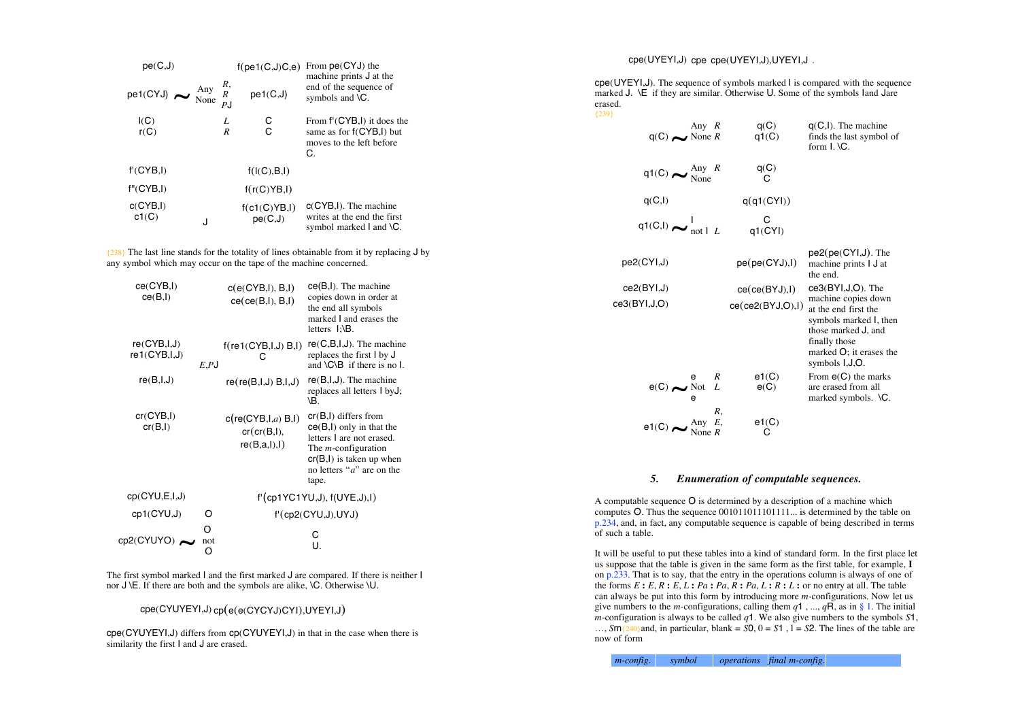| pe(C, J)                             |                      | $f(\text{pe1}(C,J)C,e)$  | From $pe(CYJ)$ the<br>machine prints <b>J</b> at the                                       |
|--------------------------------------|----------------------|--------------------------|--------------------------------------------------------------------------------------------|
| pe1(CYJ) $\sim \frac{Any R}{None R}$ | R,<br>P <sub>1</sub> | pe1(C,J)                 | end of the sequence of<br>symbols and $\setminus C$ .                                      |
| $I(C)$<br>$r(C)$                     | L<br>R               | C<br>C                   | From f'(CYB,I) it does the<br>same as for $f(CYB,I)$ but<br>moves to the left before<br>C. |
| f'(CYB,I)                            |                      | f(I(C), B, I)            |                                                                                            |
| f''(CYB,I)                           |                      | f(r(C)YB,I)              |                                                                                            |
| c(CYB,I)<br>c1(C)                    |                      | f(c1(C)YB,I)<br>pe(C, J) | $C(CYB,I)$ . The machine<br>writes at the end the first<br>symbol marked I and \C.         |

{238} The last line stands for the totality of lines obtainable from it by replacing J by any symbol which may occur on the tape of the machine concerned.

| ce(CYB,I)<br>ce(B, I)       |               | c(e(CYB,I), B,I)<br>ce(ce(B,I), B,I)              | $ce(B, I)$ . The machine<br>copies down in order at<br>the end all symbols<br>marked I and erases the<br>letters $I:\ B$ .                                                             |
|-----------------------------|---------------|---------------------------------------------------|----------------------------------------------------------------------------------------------------------------------------------------------------------------------------------------|
| re(CYB,I,J)<br>re1(CYB,I,J) | E.PJ          | f(re1(CYB,I,J)B,I)<br>С                           | $re(C,B,I,J)$ . The machine<br>replaces the first I by J<br>and $\overline{C} \setminus B$ if there is no I.                                                                           |
| re(B,I,J)                   |               | re(re(B,I,J), B,I,J)                              | $re(B, I, J)$ . The machine<br>replaces all letters I by J;<br>١B.                                                                                                                     |
| cr(CYB,I)<br>cr(B,I)        |               | c(re(CYB,I,a)B,I)<br>cr(cr(B,I)),<br>re(B,a,l),l) | $cr(B, I)$ differs from<br>$ce(B, I)$ only in that the<br>letters I are not erased.<br>The $m$ -configuration<br>$cr(B, I)$ is taken up when<br>no letters " $a$ " are on the<br>tape. |
| cp(CYU,E,I,J)               |               |                                                   | f'(cp1YC1YU,J), f(UYE,J), I)                                                                                                                                                           |
| cp1(CYU,J)                  | O             |                                                   | f'(cp2(CYU,J),UYJ)                                                                                                                                                                     |
| cp2(CYUYO) $\sim$           | ∩<br>not<br>O |                                                   | U.                                                                                                                                                                                     |
|                             |               |                                                   |                                                                                                                                                                                        |

The first symbol marked I and the first marked J are compared. If there is neither I nor J \E. If there are both and the symbols are alike, \C. Otherwise \U.

cpe(CYUYEYI,J) cp(e(e(CYCYJ)CYI),UYEYI,<sup>J</sup>)

cpe(CYUYEYI,J) differs from cp(CYUYEYI,J) in that in the case when there is similarity the first I and J are erased.

### cpe(UYEYI,J) cpe cpe(UYEYI,J),UYEYI,J .

cpe(UYEYI,J). The sequence of symbols marked I is compared with the sequence marked J. \E if they are similar. Otherwise U. Some of the symbols land Jare erased. {239}

|              | Any $R$<br>$q(C) \sim$ None R                          | q(C)<br>q1(C)     | $q(C, I)$ . The machine<br>finds the last symbol of<br>form $I. \setminus C$ .                                                                                  |
|--------------|--------------------------------------------------------|-------------------|-----------------------------------------------------------------------------------------------------------------------------------------------------------------|
|              | $q1(C) \sim \frac{\text{Any } R}{\text{None}}$         | q(C)              |                                                                                                                                                                 |
| q(C, I)      |                                                        | q(q1(CYI))        |                                                                                                                                                                 |
|              | q1(C,l) $\sim \frac{1}{\text{not} L}$                  | $C$<br>q1(CYI)    |                                                                                                                                                                 |
| pe2(CYI,J)   |                                                        | pe(pe(CYJ), I)    | $pe2(pe(CYI,J).$ The<br>machine prints I J at<br>the end.                                                                                                       |
| ce2(BYI,J)   |                                                        | ce(ce(BYJ), I)    | $ce3(BYI,J,O)$ . The                                                                                                                                            |
| ce3(BYI,J,O) |                                                        | ce(ce2(BYJ,O), I) | machine copies down<br>at the end first the<br>symbols marked I, then<br>those marked J, and<br>finally those<br>marked O; it erases the<br>symbols $I, J, O$ . |
|              | R<br>$e(C) \sim \text{Not } L$                         | e1(C)<br>e(C)     | From $e(C)$ the marks<br>are erased from all<br>marked symbols. \C.                                                                                             |
|              | R,<br>e1(C) $\sim$ $\frac{\text{Any}}{\text{None } R}$ | e1(C)             |                                                                                                                                                                 |

### *5. Enumeration of computable sequences.*

A computable sequence O is determined by a description of a machine which computes O. Thus the sequence 001011011101111... is determined by the table on p.234, and, in fact, any computable sequence is capable of being described in terms of such a table.

It will be useful to put these tables into a kind of standard form. In the first place let us suppose that the table is given in the same form as the first table, for example, **I** on p.233. That is to say, that the entry in the operations column is always of one of the forms  $E : E, R : E, L : Pa : Pa, R : Pa, L : R : L :$  or no entry at all. The table can always be put into this form by introducing more *m*-configurations. Now let us give numbers to the *m*-configurations, calling them  $q1$ , ...,  $q\overline{R}$ , as in § 1. The initial *m*-configuration is always to be called *q*1. We also give numbers to the symbols *S*1, …,  $\sum_{i=1}^{n}$  *Sm*{240}and, in particular, blank = *S*0, 0 = *S*1, 1 = *S*2. The lines of the table are now of form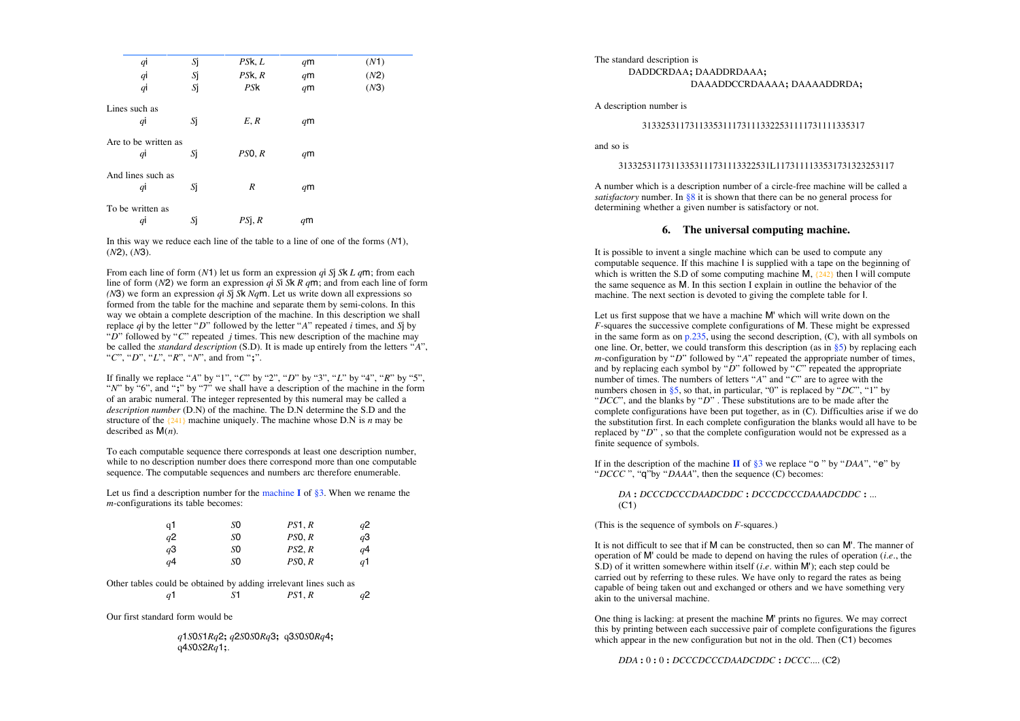| qİ                   | Sj | PSk, L | q <sub>m</sub> | (N1) |
|----------------------|----|--------|----------------|------|
| qi                   | Sj | PSk, R | q <sub>m</sub> | (N2) |
| qi                   | Si | PSK    | q <sub>m</sub> | (N3) |
| Lines such as        |    |        |                |      |
| qİ                   | Si | E, R   | q <sub>m</sub> |      |
| Are to be written as |    |        |                |      |
| qİ                   | Sj | PSO, R | $q$ m          |      |
| And lines such as    |    |        |                |      |
| $q$ l                | Sj | R      | q <sub>m</sub> |      |
| To be written as     |    |        |                |      |
| qI                   | Sj | PSi, R | q <sub>m</sub> |      |

In this way we reduce each line of the table to a line of one of the forms (*N*1), (*N*2), (*N*3).

From each line of form (*N*1) let us form an expression *q*i *S*j *S*k *L q*m; from each line of form (*N*2) we form an expression *q*i *S*i *S*k *R q*m; and from each line of form *(N*3) we form an expression *q*i *S*j *S*k *Nq*m. Let us write down all expressions so formed from the table for the machine and separate them by semi-colons. In this way we obtain a complete description of the machine. In this description we shall replace *q*i by the letter "*D*" followed by the letter "*A*" repeated *i* times, and *S*j by "*D*" followed by "*C*" repeated *j* times. This new description of the machine may be called the *standard description* (S.D). It is made up entirely from the letters "*A*", "*C*", "*D*", "*L*", "*R*", "*N*", and from "**;**".

If finally we replace "*A*" by "1", "*C*" by "2", "*D*" by "3", "*L*" by "4", "*R*" by "5", "*N*" by "6", and ";" by "7<sup>"</sup> we shall have a description of the machine in the form of an arabic numeral. The integer represented by this numeral may be called a *description number* (D.N) of the machine. The D.N determine the S.D and the structure of the {241} machine uniquely. The machine whose D.N is *n* may be described as M(*n*).

To each computable sequence there corresponds at least one description number, while to no description number does there correspond more than one computable sequence. The computable sequences and numbers arc therefore enumerable.

Let us find a description number for the machine **I** of §3. When we rename the *m*-configurations its table becomes:

| q1             | .SO | PS1, R | q2 |
|----------------|-----|--------|----|
| q2             | SO. | PSO, R | qЗ |
| q3             | SO. | PS2, R | q4 |
| q <sub>4</sub> | SO. | PSO, R | q1 |

Other tables could be obtained by adding irrelevant lines such as

*q*1 *S*1 *PS*1, *R q*2

Our first standard form would be

*q*1*S*0*S*1*Rq*2**;** *q*2*S*0*S*0*Rq*3**;** q3*S*0*S*0*Rq*4**;**  $q^4$ *S*0*S*2*Rq*<sup>1</sup>**;**.

| The standard description is<br>DADDCRDAA; DAADDRDAAA;<br>DAAADDCCRDAAAA; DAAAADDRDA;                                                                                                                                                         |
|----------------------------------------------------------------------------------------------------------------------------------------------------------------------------------------------------------------------------------------------|
| A description number is                                                                                                                                                                                                                      |
| 31332531173113353111731113322531111731111335317                                                                                                                                                                                              |
| and so is                                                                                                                                                                                                                                    |
| 31332531173113353111731113322531L1173111133531731323253117                                                                                                                                                                                   |
| A number which is a description number of a circle-free machine will be called a<br><i>satisfactory</i> number. In $\S$ 8 it is shown that there can be no general process for<br>determining whether a given number is satisfactory or not. |

### **6. The universal computing machine.**

It is possible to invent a single machine which can be used to compute any computable sequence. If this machine I is supplied with a tape on the beginning of which is written the S.D of some computing machine M,  $\{242\}$  then I will compute the same sequence as M. In this section I explain in outline the behavior of the machine. The next section is devoted to giving the complete table for I.

Let us first suppose that we have a machine M' which will write down on the *F*-squares the successive complete configurations of M. These might be expressed in the same form as on p.235, using the second description, (C), with all symbols on one line. Or, better, we could transform this description (as in  $\S$ 5) by replacing each *m*-configuration by "*D*" followed by "*A*" repeated the appropriate number of times, and by replacing each symbol by "*D*" followed by "*C*" repeated the appropriate number of times. The numbers of letters "*A*" and "*C*" are to agree with the numbers chosen in §5, so that, in particular, "0" is replaced by "*DC*", "1" by "*DCC*", and the blanks by "*D*" . These substitutions are to be made after the complete configurations have been put together, as in (C). Difficulties arise if we do the substitution first. In each complete configuration the blanks would all have to be replaced by "*D*" , so that the complete configuration would not be expressed as a finite sequence of symbols.

If in the description of the machine **II** of §3 we replace "o " by "*DAA*", "e" by "*DCCC* ", "q"by "*DAAA*", then the sequence (C) becomes:

### *DA* **:** *DCCCDCCCDAADCDDC* **:** *DCCCDCCCDAAADCDDC* **:** ... (C1)

(This is the sequence of symbols on *F*-squares.)

It is not difficult to see that if M can be constructed, then so can M'. The manner of operation of M' could be made to depend on having the rules of operation (*i.e*., the S.D) of it written somewhere within itself (*i.e*. within M'); each step could be carried out by referring to these rules. We have only to regard the rates as being capable of being taken out and exchanged or others and we have something very akin to the universal machine.

One thing is lacking: at present the machine M' prints no figures. We may correct this by printing between each successive pair of complete configurations the figures which appear in the new configuration but not in the old. Then  $(C<sup>1</sup>)$  becomes

*DDA* **:** 0 **:** 0 **:** *DCCCDCCCDAADCDDC* **:** *DCCC*.... (C2)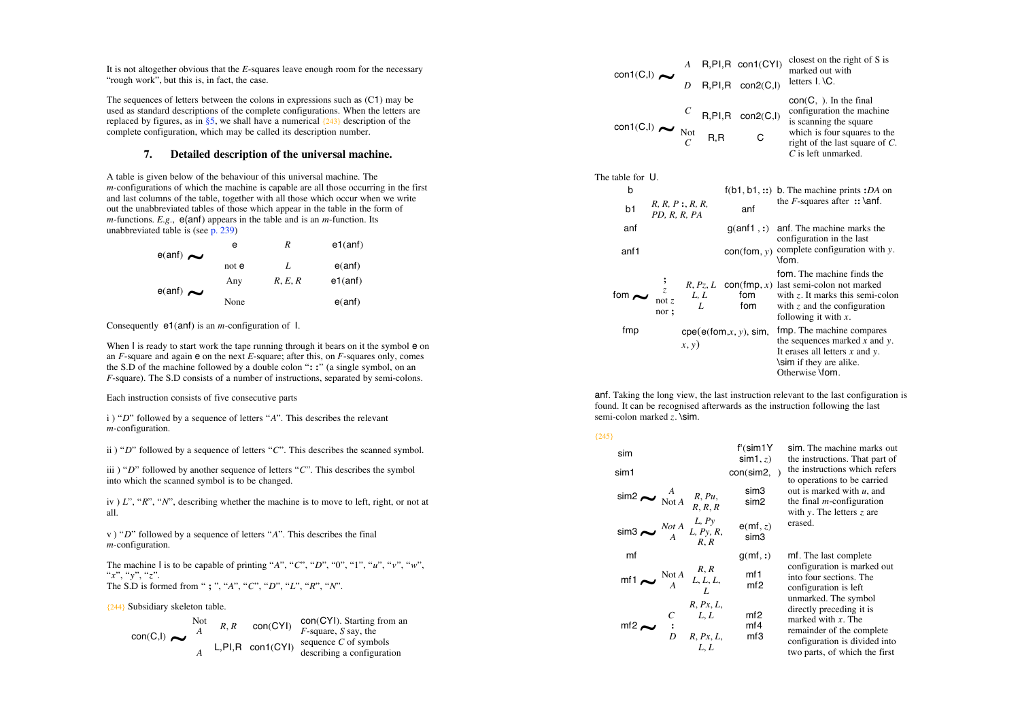It is not altogether obvious that the *E*-squares leave enough room for the necessary "rough work" but this is, in fact, the case.

The sequences of letters between the colons in expressions such as (C1) may be used as standard descriptions of the complete configurations. When the letters are replaced by figures, as in §5, we shall have a numerical  $\{243\}$  description of the complete configuration, which may be called its description number.

### **7. Detailed description of the universal machine.**

A table is given below of the behaviour of this universal machine. The *m*-configurations of which the machine is capable are all those occurring in the first and last columns of the table, together with all those which occur when we write out the unabbreviated tables of those which appear in the table in the form of *m*-functions. *E.g.*,  $e(ant)$  appears in the table and is an *m*-function. Its unabbreviated table is (see p. 239)

|                      | е     | R       | e1(an) |
|----------------------|-------|---------|--------|
| $e(anf) \rightarrow$ | not e | L       | e(an)  |
|                      | Any   | R, E, R | e1(an) |
| $e(anf) \rightarrow$ | None  |         | e(an)  |

Consequently e1(anf) is an *m*-configuration of I.

When I is ready to start work the tape running through it bears on it the symbol  $\theta$  on an *F*-square and again e on the next *E*-square; after this, on *F*-squares only, comes the S.D of the machine followed by a double colon "**: :**" (a single symbol, on an *F*-square). The S.D consists of a number of instructions, separated by semi-colons.

Each instruction consists of five consecutive parts

i ) "*D*" followed by a sequence of letters "*A*". This describes the relevant *m*-configuration.

ii ) "*D*" followed by a sequence of letters "*C*". This describes the scanned symbol.

iii ) "*D*" followed by another sequence of letters "*C*". This describes the symbol into which the scanned symbol is to be changed.

iv ) *L*", "*R*", "*N*", describing whether the machine is to move to left, right, or not at all.

v ) "*D*" followed by a sequence of letters "*A*". This describes the final *m*-configuration.

The machine I is to be capable of printing "*A*", "*C*", "*D*", "0", "1", "*u*", "*v*", "*w*", "*x*", "*y*", "*z*". The S.D is formed from " **;** ", "*A*", "*C*", "*D*", "*L*", "*R*", "*N*".

{244} Subsidiary skeleton table.



|                                       |                                       | $\overline{A}$ |          | R,PI,R con1(CYI)              | closest on the right of S is<br>marked out with                                                                                                                                                                            |
|---------------------------------------|---------------------------------------|----------------|----------|-------------------------------|----------------------------------------------------------------------------------------------------------------------------------------------------------------------------------------------------------------------------|
|                                       | $cont(C,I) \rightarrow$               |                |          | $R, Pl, R$ con $2(C, I)$      | letters I. \C.                                                                                                                                                                                                             |
| $\text{cond}(C,I) \sim N_{\text{ot}}$ |                                       |                | R, R     | $R, Pl, R$ con $2(C, I)$<br>C | $con(C, )$ . In the final<br>configuration the machine<br>is scanning the square<br>which is four squares to the<br>right of the last square of $C$ .<br>$C$ is left unmarked.                                             |
| The table for U.                      |                                       |                |          |                               |                                                                                                                                                                                                                            |
| b                                     |                                       |                |          |                               | $f(b1, b1, \ldots)$ b. The machine prints : DA on                                                                                                                                                                          |
| b <sub>1</sub>                        | $R, R, P$ :, $R, R$ ,<br>PD, R, R, PA |                |          | anf                           | the $F$ -squares after $::$ \anf.                                                                                                                                                                                          |
| anf                                   |                                       |                |          |                               | $g(ant1, :)$ anf. The machine marks the<br>configuration in the last                                                                                                                                                       |
| anf1                                  |                                       |                |          | con(fom, y)                   | complete configuration with y.<br>\fom.                                                                                                                                                                                    |
| fom $\sim$                            | not z<br>nor;                         |                | $\cal L$ | fom                           | fom. The machine finds the<br>$R, Pz, L$ con(fmp, x) last semi-colon not marked<br>L, L fom with z. It marks this semi-co<br>with z. It marks this semi-colon<br>with $z$ and the configuration<br>following it with $x$ . |
| fmp                                   |                                       | x, y)          |          | cpe(e(fom, x, y), sim,        | fmp. The machine compares<br>the sequences marked $x$ and $y$ .<br>It erases all letters $x$ and $y$ .<br>\sim if they are alike.<br>Otherwise \fom.                                                                       |

anf. Taking the long view, the last instruction relevant to the last configuration is found. It can be recognised afterwards as the instruction following the last semi-colon marked *z*. \sim.

### {245}

| sim                                                                   | .<br>sim1, z)            |
|-----------------------------------------------------------------------|--------------------------|
| sim1                                                                  | $con(sim2, )$            |
| sim2 $\sim$ $\frac{A}{\text{Not }A}$ $\frac{R}{R}$ , $\frac{Pu}{R}$ , | sim3<br>sim <sub>2</sub> |
| sim3 $\sim$ $\frac{Not A}{A}$ $\frac{L, Py}{L, Py, R}$ ,<br>R, R      | e(mf, z)<br>sim3         |
| mf                                                                    | g(mf, : )                |
| mf1 $\sim$ $\frac{\text{Not }A}{A}$ $\frac{R, R}{L, L, L}$            | mf 1<br>mf2              |
| R, Px, L,<br>L.L<br>C<br>mf2 $\sim$<br>D<br>R, Px, L,<br>L.L          | mf2<br>mf4<br>mf3        |

f'(sim1Y sim. The machine marks out the instructions. That part of the instructions which refers to operations to be carried out is marked with *u*, and the final *m*-configuration with *y*. The letters *z* are erased.

> mf. The last complete configuration is marked out into four sections. The configuration is left unmarked. The symbol directly preceding it is marked with *x*. The remainder of the complete configuration is divided into two parts, of which the first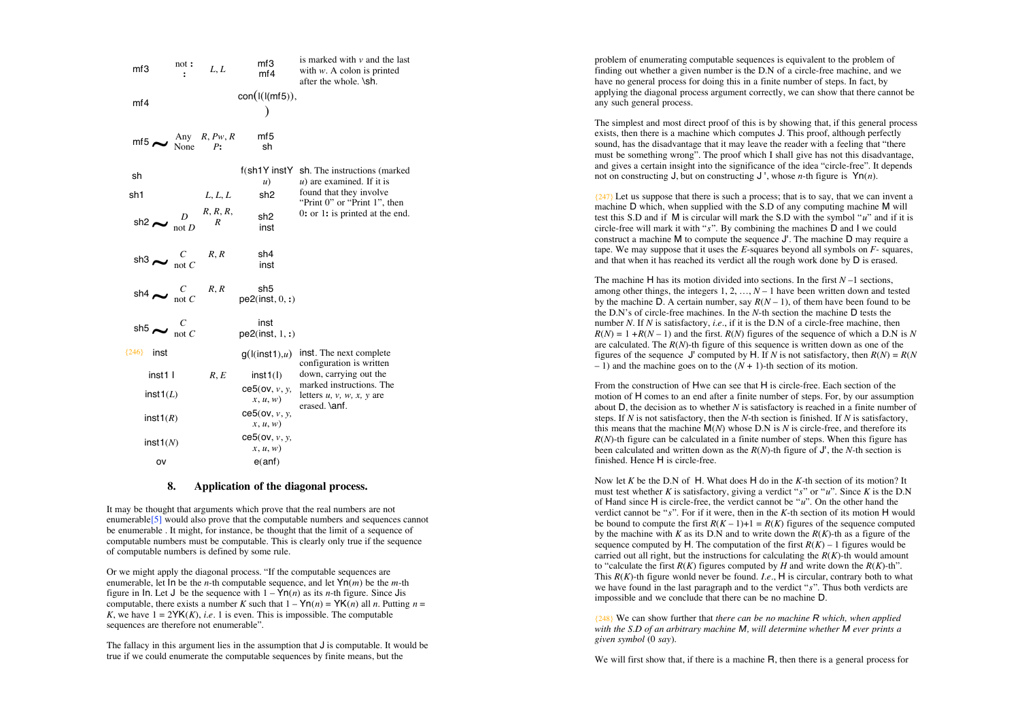| mf3                                    |          | not:<br>$\ddot{\phantom{a}}$ | L, L                     | mf3<br>mf <sub>4</sub>                                                   | is marked with $\nu$ and the last<br>with $w$ . A colon is printed<br>after the whole. \sh.       |
|----------------------------------------|----------|------------------------------|--------------------------|--------------------------------------------------------------------------|---------------------------------------------------------------------------------------------------|
| mf <sub>4</sub>                        |          |                              |                          | con(I(I(mf5)),                                                           |                                                                                                   |
| $\mathsf{mfs} \leftarrow \mathsf{mse}$ |          |                              | Any $R, Pw, R$<br>P:     | mf5<br>sh                                                                |                                                                                                   |
| sh                                     |          |                              |                          | u)                                                                       | $f(\text{sh1Y} \text{instY} \text{ sh.}$ The instructions (marked<br>$u$ ) are examined. If it is |
| sh1                                    |          |                              | L, L, L                  | sh <sub>2</sub>                                                          | found that they involve                                                                           |
| sh2 $\sim$ $\frac{D}{\text{not }D}$    |          |                              | R, R, R,<br>R            | sh2<br>inst                                                              | "Print 0" or "Print 1", then<br>$0:$ or 1: is printed at the end.                                 |
| sh3 $\sim \frac{C}{\text{not } C}$     |          |                              | R, R                     | sh4<br>inst                                                              |                                                                                                   |
| sh4 $\sim \frac{C}{\text{not } C}$     |          |                              | R, R                     | sh5<br>$pe2$ (inst, $0, :$ )                                             |                                                                                                   |
| sh5 $\sim \frac{C}{\text{not } C}$     |          |                              |                          | inst<br>$pe2$ (inst, $1, :$ )                                            |                                                                                                   |
| ${246}$<br>inst                        |          |                              |                          | g(l(nst1),u)                                                             | inst. The next complete<br>configuration is written                                               |
|                                        | inst 1 l |                              | R, E                     | inst(1)                                                                  | down, carrying out the                                                                            |
| inst1(L)                               |          |                              | ce5(ov, v, y,<br>x, u, w | marked instructions. The<br>letters $u, v, w, x, y$ are<br>erased. \anf. |                                                                                                   |
| inst1(R)                               |          |                              |                          | ce5(ov, v, v,<br>x, u, w                                                 |                                                                                                   |
| inst1(N)                               |          |                              |                          | ce5(ov, v, y,<br>x, u, w                                                 |                                                                                                   |
| ov                                     |          |                              |                          | e(an)                                                                    |                                                                                                   |

### **8. Application of the diagonal process.**

It may be thought that arguments which prove that the real numbers are not enumerable[5] would also prove that the computable numbers and sequences cannot be enumerable . It might, for instance, be thought that the limit of a sequence of computable numbers must be computable. This is clearly only true if the sequence of computable numbers is defined by some rule.

Or we might apply the diagonal process. "If the computable sequences are enumerable, let In be the *n*-th computable sequence, and let Yn(*m*) be the *m*-th figure in In. Let J be the sequence with  $1 - Yn(n)$  as its *n*-th figure. Since Jis computable, there exists a number *K* such that  $1 - \text{Yn}(n) = \text{YK}(n)$  all *n*. Putting  $n =$ *K*, we have  $1 = 2YK(K)$ , *i.e.* 1 is even. This is impossible. The computable sequences are therefore not enumerable".

The fallacy in this argument lies in the assumption that  $J$  is computable. It would be true if we could enumerate the computable sequences by finite means, but the

problem of enumerating computable sequences is equivalent to the problem of finding out whether a given number is the D.N of a circle-free machine, and we have no general process for doing this in a finite number of steps. In fact, by applying the diagonal process argument correctly, we can show that there cannot be any such general process.

The simplest and most direct proof of this is by showing that, if this general process exists, then there is a machine which computes J. This proof, although perfectly sound, has the disadvantage that it may leave the reader with a feeling that "there must be something wrong". The proof which I shall give has not this disadvantage, and gives a certain insight into the significance of the idea "circle-free". It depends not on constructing J, but on constructing J ', whose *n*-th figure is Yn(*n*).

{247} Let us suppose that there is such a process; that is to say, that we can invent a machine D which, when supplied with the S.D of any computing machine M will test this S.D and if M is circular will mark the S.D with the symbol "*u*" and if it is circle-free will mark it with "*s*". By combining the machines D and I we could construct a machine M to compute the sequence J'. The machine D may require a tape. We may suppose that it uses the *E*-squares beyond all symbols on *F*- squares, and that when it has reached its verdict all the rough work done by D is erased.

The machine H has its motion divided into sections. In the first *N* –1 sections, among other things, the integers  $1, 2, ..., N-1$  have been written down and tested by the machine D. A certain number, say  $R(N-1)$ , of them have been found to be the D.N's of circle-free machines. In the *N*-th section the machine D tests the number *N*. If *N* is satisfactory, *i.e*., if it is the D.N of a circle-free machine, then  $R(N) = 1 + R(N - 1)$  and the first.  $R(N)$  figures of the sequence of which a D.N is N are calculated. The *R*(*N*)-th figure of this sequence is written down as one of the figures of the sequence J' computed by H. If *N* is not satisfactory, then  $R(N) = R(N)$  $-1$ ) and the machine goes on to the  $(N + 1)$ -th section of its motion.

From the construction of Hwe can see that H is circle-free. Each section of the motion of H comes to an end after a finite number of steps. For, by our assumption about D, the decision as to whether *N* is satisfactory is reached in a finite number of steps. If *N* is not satisfactory, then the *N*-th section is finished. If *N* is satisfactory, this means that the machine  $M(N)$  whose D.N is  $N$  is circle-free, and therefore its  $R(N)$ -th figure can be calculated in a finite number of steps. When this figure has been calculated and written down as the *R*(*N*)-th figure of J', the *N*-th section is finished. Hence H is circle-free.

Now let *K* be the D.N of H. What does H do in the *K*-th section of its motion? It must test whether *K* is satisfactory, giving a verdict "*s*" or "*u*". Since *K* is the D.N of Hand since H is circle-free, the verdict cannot be "*u*". On the other hand the verdict cannot be "*s*". For if it were, then in the *K*-th section of its motion H would be bound to compute the first  $R(K-1)+1 = R(K)$  figures of the sequence computed by the machine with *K* as its D.N and to write down the *R*(*K*)-th as a figure of the sequence computed by H. The computation of the first  $R(K) - 1$  figures would be carried out all right, but the instructions for calculating the  $R(K)$ -th would amount to "calculate the first  $R(K)$  figures computed by *H* and write down the  $R(K)$ -th". This *R*(*K*)-th figure wonld never be found. *I.e*., H is circular, contrary both to what we have found in the last paragraph and to the verdict "*s*". Thus both verdicts are impossible and we conclude that there can be no machine D.

{248} We can show further that *there can be no machine* R *which, when applied with the S.D of an arbitrary machine* M*, will determine whether* M *ever prints a given symbol* (0 *say*).

We will first show that, if there is a machine R, then there is a general process for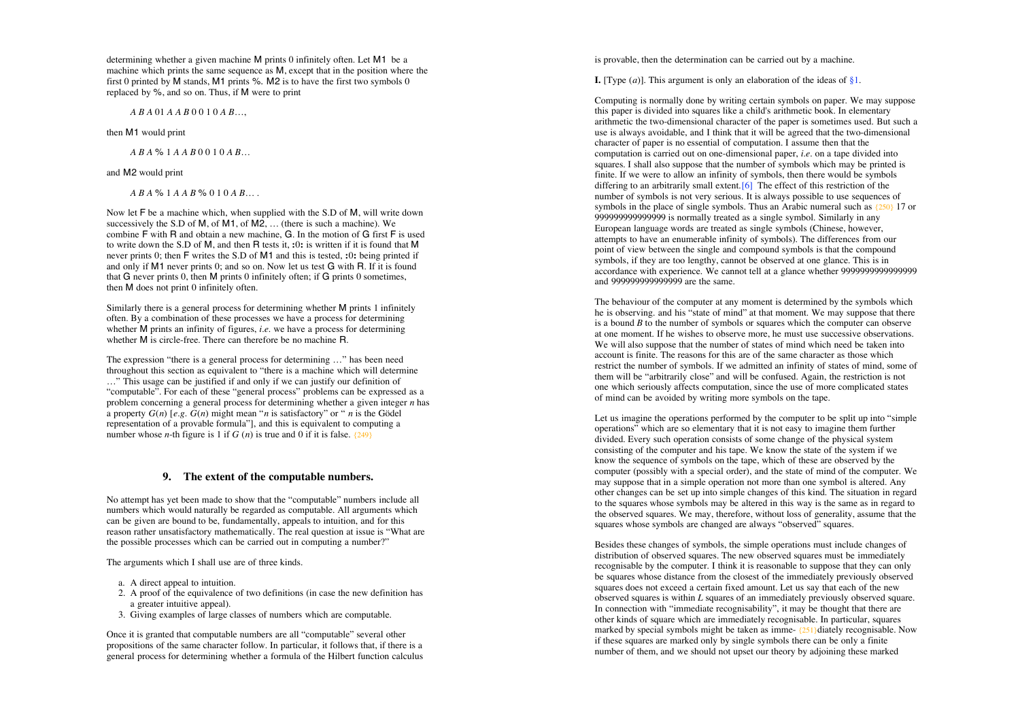determining whether a given machine M prints 0 infinitely often. Let M1 be a machine which prints the same sequence as M, except that in the position where the first 0 printed by M stands, M1 prints %. M2 is to have the first two symbols 0 replaced by %, and so on. Thus, if M were to print

*A B A* 01 *A A B* 0 0 1 0 *A B*…,

then M1 would print

*A B A* % 1 *A A B* 0 0 1 0 *A B*…

and M2 would print

*A B A* % 1 *A A B* % 0 1 0 *A B*… .

Now let F be a machine which, when supplied with the S.D of M, will write down successively the S.D of M, of M1, of M2, … (there is such a machine). We combine  $\overline{F}$  with  $\overline{R}$  and obtain a new machine,  $\overline{G}$ . In the motion of  $\overline{G}$  first  $\overline{F}$  is used to write down the S.D of M, and then R tests it, **:**0**:** is written if it is found that M never prints 0; then F writes the S.D of M1 and this is tested, **:**0**:** being printed if and only if M1 never prints 0; and so on. Now let us test G with R. If it is found that G never prints 0, then M prints 0 infinitely often; if G prints 0 sometimes, then M does not print 0 infinitely often.

Similarly there is a general process for determining whether M prints 1 infinitely often. By a combination of these processes we have a process for determining whether M prints an infinity of figures, *i.e.* we have a process for determining whether M is circle-free. There can therefore be no machine R.

The expression "there is a general process for determining …" has been need throughout this section as equivalent to "there is a machine which will determine …" This usage can be justified if and only if we can justify our definition of "computable". For each of these "general process" problems can be expressed as a problem concerning a general process for determining whether a given integer *n* has a property  $G(n)$  [e.g.  $G(n)$  might mean "*n* is satisfactory" or " *n* is the Gödel representation of a provable formula"], and this is equivalent to computing a number whose *n*-th figure is 1 if  $G(n)$  is true and 0 if it is false.  $\{249\}$ 

### **9. The extent of the computable numbers.**

No attempt has yet been made to show that the "computable" numbers include all numbers which would naturally be regarded as computable. All arguments which can be given are bound to be, fundamentally, appeals to intuition, and for this reason rather unsatisfactory mathematically. The real question at issue is "What are the possible processes which can be carried out in computing a number?"

The arguments which I shall use are of three kinds.

- a. A direct appeal to intuition.
- 2. A proof of the equivalence of two definitions (in case the new definition has a greater intuitive appeal).
- 3. Giving examples of large classes of numbers which are computable.

Once it is granted that computable numbers are all "computable" several other propositions of the same character follow. In particular, it follows that, if there is a general process for determining whether a formula of the Hilbert function calculus is provable, then the determination can be carried out by a machine.

**I.** [Type (*a*)]. This argument is only an elaboration of the ideas of §1.

Computing is normally done by writing certain symbols on paper. We may suppose this paper is divided into squares like a child's arithmetic book. In elementary arithmetic the two-dimensional character of the paper is sometimes used. But such a use is always avoidable, and I think that it will be agreed that the two-dimensional character of paper is no essential of computation. I assume then that the computation is carried out on one-dimensional paper, *i.e.* on a tape divided into squares. I shall also suppose that the number of symbols which may be printed is finite. If we were to allow an infinity of symbols, then there would be symbols differing to an arbitrarily small extent.<sup>[6]</sup> The effect of this restriction of the number of symbols is not very serious. It is always possible to use sequences of symbols in the place of single symbols. Thus an Arabic numeral such as  $\{250\}$  17 or 999999999999999 is normally treated as a single symbol. Similarly in any European language words are treated as single symbols (Chinese, however, attempts to have an enumerable infinity of symbols). The differences from our point of view between the single and compound symbols is that the compound symbols, if they are too lengthy, cannot be observed at one glance. This is in accordance with experience. We cannot tell at a glance whether 9999999999999999 and 999999999999999 are the same.

The behaviour of the computer at any moment is determined by the symbols which he is observing. and his "state of mind" at that moment. We may suppose that there is a bound *B* to the number of symbols or squares which the computer can observe at one moment. If he wishes to observe more, he must use successive observations. We will also suppose that the number of states of mind which need be taken into account is finite. The reasons for this are of the same character as those which restrict the number of symbols. If we admitted an infinity of states of mind, some of them will be "arbitrarily close" and will be confused. Again, the restriction is not one which seriously affects computation, since the use of more complicated states of mind can be avoided by writing more symbols on the tape.

Let us imagine the operations performed by the computer to be split up into "simple operations" which are so elementary that it is not easy to imagine them further divided. Every such operation consists of some change of the physical system consisting of the computer and his tape. We know the state of the system if we know the sequence of symbols on the tape, which of these are observed by the computer (possibly with a special order), and the state of mind of the computer. We may suppose that in a simple operation not more than one symbol is altered. Any other changes can be set up into simple changes of this kind. The situation in regard to the squares whose symbols may be altered in this way is the same as in regard to the observed squares. We may, therefore, without loss of generality, assume that the squares whose symbols are changed are always "observed" squares.

Besides these changes of symbols, the simple operations must include changes of distribution of observed squares. The new observed squares must be immediately recognisable by the computer. I think it is reasonable to suppose that they can only be squares whose distance from the closest of the immediately previously observed squares does not exceed a certain fixed amount. Let us say that each of the new observed squares is within *L* squares of an immediately previously observed square. In connection with "immediate recognisability", it may be thought that there are other kinds of square which are immediately recognisable. In particular, squares marked by special symbols might be taken as imme- $\{251\}$ diately recognisable. Now if these squares are marked only by single symbols there can be only a finite number of them, and we should not upset our theory by adjoining these marked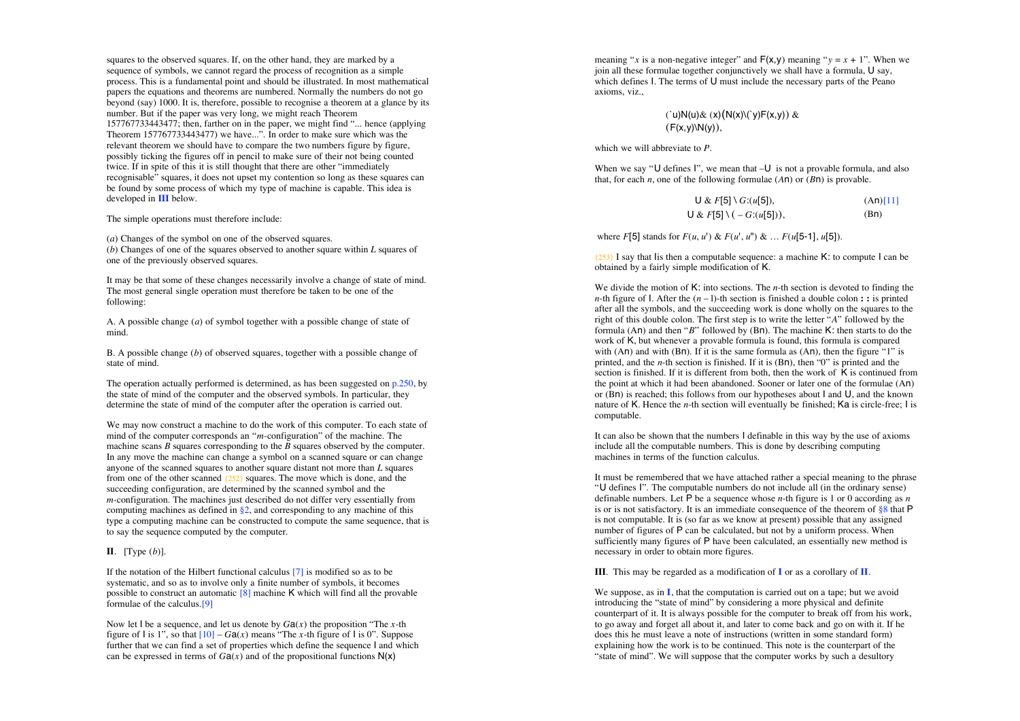squares to the observed squares. If, on the other hand, they are marked by a sequence of symbols, we cannot regard the process of recognition as a simple process. This is a fundamental point and should be illustrated. In most mathematical papers the equations and theorems are numbered. Normally the numbers do not go beyond (say) 1000. It is, therefore, possible to recognise a theorem at a glance by its number. But if the paper was very long, we might reach Theorem 157767733443477; then, farther on in the paper, we might find "... hence (applying Theorem 157767733443477) we have...". In order to make sure which was the relevant theorem we should have to compare the two numbers figure by figure, possibly ticking the figures off in pencil to make sure of their not being counted twice. If in spite of this it is still thought that there are other "immediately recognisable" squares, it does not upset my contention so long as these squares can be found by some process of which my type of machine is capable. This idea is developed in **III** below.

The simple operations must therefore include:

(*a*) Changes of the symbol on one of the observed squares. (*b*) Changes of one of the squares observed to another square within *L* squares of one of the previously observed squares.

It may be that some of these changes necessarily involve a change of state of mind. The most general single operation must therefore be taken to be one of the following:

A. A possible change (*a*) of symbol together with a possible change of state of mind.

B. A possible change (*b*) of observed squares, together with a possible change of state of mind.

The operation actually performed is determined, as has been suggested on  $p.250$ , by the state of mind of the computer and the observed symbols. In particular, they determine the state of mind of the computer after the operation is carried out.

We may now construct a machine to do the work of this computer. To each state of mind of the computer corresponds an "*m*-configuration" of the machine. The machine scans  $\vec{B}$  squares corresponding to the  $\vec{B}$  squares observed by the computer. In any move the machine can change a symbol on a scanned square or can change anyone of the scanned squares to another square distant not more than *L* squares from one of the other scanned  $\{252\}$  squares. The move which is done, and the succeeding configuration, are determined by the scanned symbol and the *m*-configuration. The machines just described do not differ very essentially from computing machines as defined in  $\S2$ , and corresponding to any machine of this type a computing machine can be constructed to compute the same sequence, that is to say the sequence computed by the computer.

#### **II**. [Type (*b*)].

If the notation of the Hilbert functional calculus [7] is modified so as to be systematic, and so as to involve only a finite number of symbols, it becomes possible to construct an automatic [8] machine K which will find all the provable formulae of the calculus.[9]

Now let I be a sequence, and let us denote by  $Ga(x)$  the proposition "The *x*-th" figure of I is 1", so that  $[10] - Ga(x)$  means "The *x*-th figure of I is 0". Suppose further that we can find a set of properties which define the sequence I and which can be expressed in terms of  $Ga(x)$  and of the propositional functions  $N(x)$ 

meaning "*x* is a non-negative integer" and  $F(x,y)$  meaning " $y = x + 1$ ". When we join all these formulae together conjunctively we shall have a formula, U say, which defines I. The terms of U must include the necessary parts of the Peano axioms, viz.,

> $($ 'u)N(u)&  $(x)(N(x)\Y)F(x,y))$ &  $(F(x,y)\$  $(N(y))$ ,

which we will abbreviate to *P*.

When we say "U defines I", we mean that  $-U$  is not a provable formula, and also that, for each *n*, one of the following formulae (*A*n) or (*B*n) is provable.

| $U & F[5] \setminus G:(u[5]),$     | (An)[11] |
|------------------------------------|----------|
| $U & F[5] \setminus (-G:(u[5]))$ , | (Bn)     |

where *F*[5] stands for  $F(u, u') \& F(u', u'') \& \ldots F(u[5-1], u[5])$ .

{253} I say that Iis then a computable sequence: a machine K: to compute I can be obtained by a fairly simple modification of K.

We divide the motion of K: into sections. The *n*-th section is devoted to finding the *n*-th figure of I. After the  $(n-1)$ -th section is finished a double colon : : is printed after all the symbols, and the succeeding work is done wholly on the squares to the right of this double colon. The first step is to write the letter "*A*" followed by the formula (An) and then "*B*" followed by (Bn). The machine K: then starts to do the work of K, but whenever a provable formula is found, this formula is compared with  $(An)$  and with  $(Bn)$ . If it is the same formula as  $(An)$ , then the figure "1" is printed, and the *n*-th section is finished. If it is (Bn), then "0" is printed and the section is finished. If it is different from both, then the work of K is continued from the point at which it had been abandoned. Sooner or later one of the formulae (An) or (Bn) is reached; this follows from our hypotheses about I and U, and the known nature of K. Hence the *n*-th section will eventually be finished; Ka is circle-free; I is computable.

It can also be shown that the numbers I definable in this way by the use of axioms include all the computable numbers. This is done by describing computing machines in terms of the function calculus.

It must be remembered that we have attached rather a special meaning to the phrase "U defines I". The computable numbers do not include all (in the ordinary sense) definable numbers. Let P be a sequence whose *n*-th figure is 1 or 0 according as *n* is or is not satisfactory. It is an immediate consequence of the theorem of §8 that P is not computable. It is (so far as we know at present) possible that any assigned number of figures of P can be calculated, but not by a uniform process. When sufficiently many figures of P have been calculated, an essentially new method is necessary in order to obtain more figures.

**III**. This may be regarded as a modification of **I** or as a corollary of **II**.

We suppose, as in **I**, that the computation is carried out on a tape; but we avoid introducing the "state of mind" by considering a more physical and definite counterpart of it. It is always possible for the computer to break off from his work, to go away and forget all about it, and later to come back and go on with it. If he does this he must leave a note of instructions (written in some standard form) explaining how the work is to be continued. This note is the counterpart of the "state of mind". We will suppose that the computer works by such a desultory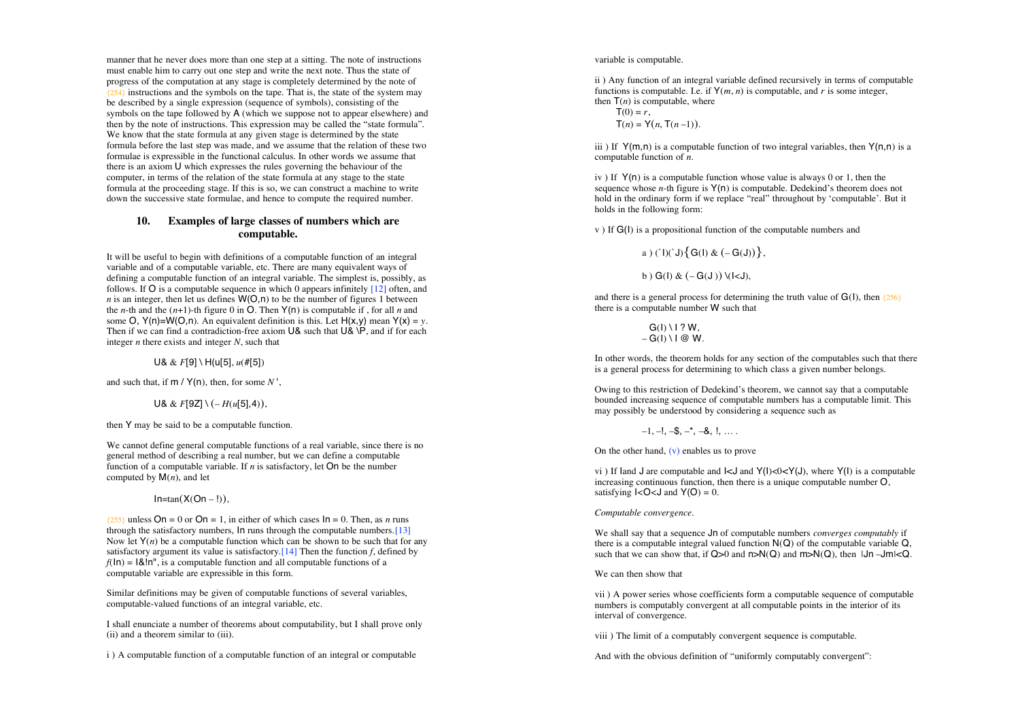manner that he never does more than one step at a sitting. The note of instructions must enable him to carry out one step and write the next note. Thus the state of progress of the computation at any stage is completely determined by the note of {254} instructions and the symbols on the tape. That is, the state of the system may be described by a single expression (sequence of symbols), consisting of the symbols on the tape followed by A (which we suppose not to appear elsewhere) and then by the note of instructions. This expression may be called the "state formula". We know that the state formula at any given stage is determined by the state formula before the last step was made, and we assume that the relation of these two formulae is expressible in the functional calculus. In other words we assume that there is an axiom U which expresses the rules governing the behaviour of the computer, in terms of the relation of the state formula at any stage to the state formula at the proceeding stage. If this is so, we can construct a machine to write down the successive state formulae, and hence to compute the required number.

### **10. Examples of large classes of numbers which are computable.**

It will be useful to begin with definitions of a computable function of an integral variable and of a computable variable, etc. There are many equivalent ways of defining a computable function of an integral variable. The simplest is, possibly, as follows. If O is a computable sequence in which 0 appears infinitely [12] often, and *n* is an integer, then let us defines  $W(0,n)$  to be the number of figures 1 between the *n*-th and the  $(n+1)$ -th figure 0 in O. Then  $Y(n)$  is computable if, for all *n* and some O,  $Y(n) = W(0, n)$ . An equivalent definition is this. Let  $H(x, y)$  mean  $Y(x) = y$ . Then if we can find a contradiction-free axiom  $\overline{\mathsf{U}\mathsf{g}}$  such that  $\overline{\mathsf{U}\mathsf{g}} \backslash \overline{\mathsf{P}}$ , and if for each integer *n* there exists and integer *N*, such that

U& & *F*[9] \ H(u[5], *u*(#[5])

and such that, if m / Y(n), then, for some *N* ',

 $U& E[9Z] \setminus (-H(u[5], 4)),$ 

then Y may be said to be a computable function.

We cannot define general computable functions of a real variable, since there is no general method of describing a real number, but we can define a computable function of a computable variable. If *n* is satisfactory, let On be the number computed by M(*n*), and let

### $In=tan(X(On - !))$ ,

 ${255}$  unless On = 0 or On = 1, in either of which cases  $\ln$  = 0. Then, as *n* runs through the satisfactory numbers, In runs through the computable numbers.[13] Now let  $Y(n)$  be a computable function which can be shown to be such that for any satisfactory argument its value is satisfactory.<sup>[14]</sup> Then the function  $f$ , defined by  $f(\ln) = 18!n$ , is a computable function and all computable functions of a computable variable are expressible in this form.

Similar definitions may be given of computable functions of several variables, computable-valued functions of an integral variable, etc.

I shall enunciate a number of theorems about computability, but I shall prove only (ii) and a theorem similar to (iii).

i ) A computable function of a computable function of an integral or computable

variable is computable.

ii ) Any function of an integral variable defined recursively in terms of computable functions is computable. I.e. if  $Y(m, n)$  is computable, and r is some integer, then  $T(n)$  is computable, where

$$
\mathsf{T}(0)=r,
$$

 $T(n) = Y(n, T(n-1)).$ 

iii) If  $Y(m,n)$  is a computable function of two integral variables, then  $Y(n,n)$  is a computable function of *n*.

iv) If  $Y(n)$  is a computable function whose value is always 0 or 1, then the sequence whose *n*-th figure is  $Y(n)$  is computable. Dedekind's theorem does not hold in the ordinary form if we replace "real" throughout by 'computable'. But it holds in the following form:

v ) If G(I) is a propositional function of the computable numbers and

a) 
$$
(1)(J)(J)(G(I) & (G(J)))
$$
,

b)  $G(1) & ( -G(J)) \setminus ( -J),$ 

and there is a general process for determining the truth value of  $G(1)$ , then {256} there is a computable number W such that

> $G(I) \setminus I$  ? W,  $-G(I) \cup \mathbb{Q}$  W.

In other words, the theorem holds for any section of the computables such that there is a general process for determining to which class a given number belongs.

Owing to this restriction of Dedekind's theorem, we cannot say that a computable bounded increasing sequence of computable numbers has a computable limit. This may possibly be understood by considering a sequence such as

 $-1, -1, -5, -4, -8, 1, \ldots$ .

On the other hand,  $(v)$  enables us to prove

vi ) If Iand J are computable and I<J and Y(I)<0<Y(J), where Y(I) is a computable increasing continuous function, then there is a unique computable number O, satisfying  $\text{I} < O < \text{J}$  and  $\text{Y}(O) = 0$ .

*Computable convergence.*

We shall say that a sequence Jn of computable numbers *converges computably* if there is a computable integral valued function  $N(Q)$  of the computable variable  $Q$ . such that we can show that, if  $Q>0$  and  $n>N(Q)$  and  $m>N(Q)$ , then  $|Jn -Jm| < Q$ .

We can then show that

vii ) A power series whose coefficients form a computable sequence of computable numbers is computably convergent at all computable points in the interior of its interval of convergence.

viii ) The limit of a computably convergent sequence is computable.

And with the obvious definition of "uniformly computably convergent":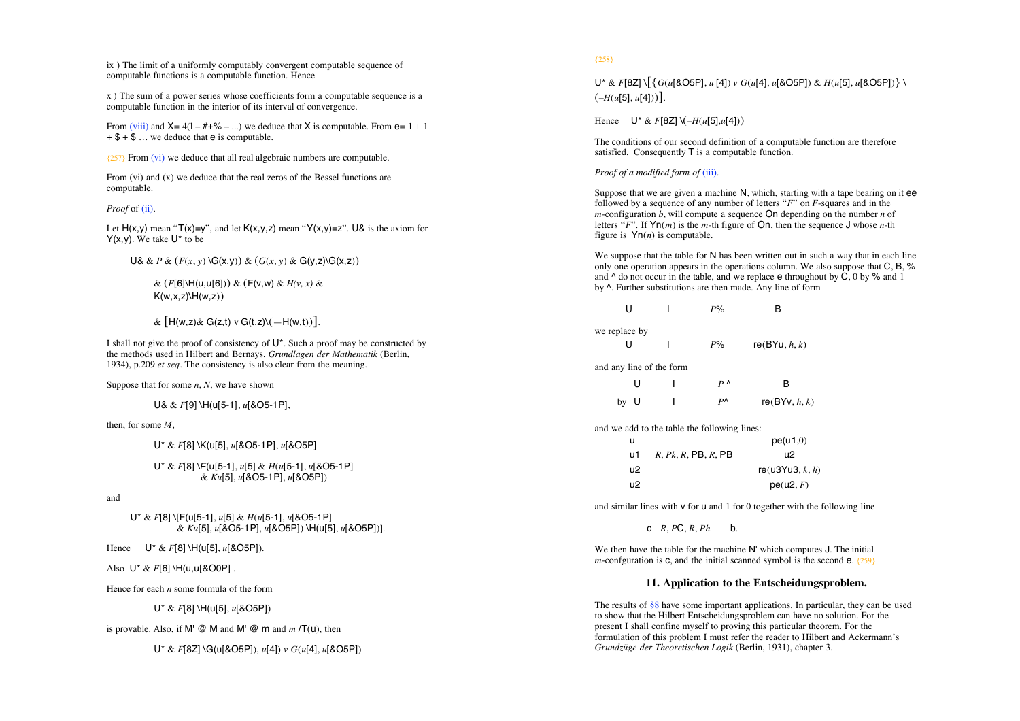ix ) The limit of a uniformly computably convergent computable sequence of computable functions is a computable function. Hence

x ) The sum of a power series whose coefficients form a computable sequence is a computable function in the interior of its interval of convergence.

From (viii) and  $X = 4(1 - # + \frac{6}{9} - ...)$  we deduce that X is computable. From  $e = 1 + 1$  $+$  \$ + \$ ... we deduce that  $e$  is computable.

{257} From (vi) we deduce that all real algebraic numbers are computable.

From (vi) and (x) we deduce that the real zeros of the Bessel functions are computable.

### *Proof* of (ii).

Let  $H(x,y)$  mean "T(x)=y", and let  $K(x,y,z)$  mean "Y(x,y)=z". U& is the axiom for  $Y(x, y)$ . We take  $U^*$  to be

```
U& & P & (F(x, y) \G(x,y)) & (G(x, y) & G(y,z)\G(x,z))
```
& (*F*[6]\H(u,u[6])) & (F(v,w) & *H(v, x)* &  $K(w,x,z)\H(w,z)$ 

&  $[H(w,z)$ &  $G(z,t)$  v  $G(t,z)$  $(-H(w,t))$ .

I shall not give the proof of consistency of  $U^*$ . Such a proof may be constructed by the methods used in Hilbert and Bernays, *Grundlagen der Mathematik* (Berlin, 1934), p.209 *et seq*. The consistency is also clear from the meaning.

Suppose that for some *n*, *N*, we have shown

U& & *F*[9] \H(u[5-1], *u*[&O5-1P],

then, for some *M*,

U\* & *F*[8] \K(u[5], *u*[&O5-1P], *u*[&O5P]

U\* & *F*[8] \F(u[5-1], *u*[5] & *H*(*u*[5-1], *u*[&O5-1P] & *Ku*[5], *u*[&O5-1P], *u*[&O5P])

and

U\* & *F*[8] \[F(u[5-1], *u*[5] & *H*(*u*[5-1], *u*[&O5-1P] & *Ku*[5], *u*[&O5-1P], *u*[&O5P]) \H(u[5], *u*[&O5P])].

Hence U\* & *F*[8] \H(u[5], *u*[&O5P]).

Also U\* & *F*[6] \H(u,u[&O0P] .

Hence for each *n* some formula of the form

U\* & *F*[8] \H(u[5], *u*[&O5P])

is provable. Also, if  $M' \otimes M$  and  $M' \otimes m$  and  $m / T(u)$ , then

U\* & *F*[8Z] \G(u[&O5P]), *u*[4]) *v G*(*u*[4], *u*[&O5P])

### {258}

U\* & *<sup>F</sup>*[8Z] \[{*G*(*u*[&O5P], *<sup>u</sup>* [4]) *v G*(*u*[4], *u*[&O5P]) & *<sup>H</sup>*(*u*[5], *u*[&O5P])} \ (–*H*(*u*[5], *u*[4]))].

Hence U\* & *F*[8Z] \(*–H*(*u*[5],*u*[4]))

The conditions of our second definition of a computable function are therefore satisfied. Consequently  $T$  is a computable function.

*Proof of a modified form of* (iii).

Suppose that we are given a machine N, which, starting with a tape bearing on it ee followed by a sequence of any number of letters "*F*" on *F*-squares and in the *m*-configuration *b*, will compute a sequence On depending on the number *n* of letters " $F$ ". If  $Yn(m)$  is the *m*-th figure of On, then the sequence J whose *n*-th figure is  $Yn(n)$  is computable.

We suppose that the table for N has been written out in such a way that in each line only one operation appears in the operations column. We also suppose that C, B, % and  $\land$  do not occur in the table, and we replace  $\theta$  throughout by  $\overline{C}$ , 0 by  $\%$  and 1 by ^. Further substitutions are then made. Any line of form

|               | U                        | P%    | B                 |
|---------------|--------------------------|-------|-------------------|
| we replace by |                          |       |                   |
|               | U                        | $P\%$ | re( $BYu, h, k$ ) |
|               | and any line of the form |       |                   |
|               | U                        | P۸    | в                 |
|               | by U                     | P٨    | re( $BYv, h, k$ ) |
|               |                          |       |                   |

and we add to the table the following lines:

| u   |                     | pe(u1,0)           |
|-----|---------------------|--------------------|
| u1  | R, Pk, R, PB, R, PB | п2                 |
| u2  |                     | re(u3Yu3, $k, h$ ) |
| 112 |                     | pe(u2, F)          |

and similar lines with v for u and 1 for 0 together with the following line

c *R*, *P*C, *R*, *Ph* b.

We then have the table for the machine N' which computes J. The initial *m*-confguration is **c**, and the initial scanned symbol is the second  $e$ . {259}

### **11. Application to the Entscheidungsproblem.**

The results of §8 have some important applications. In particular, they can be used to show that the Hilbert Entscheidungsproblem can have no solution. For the present I shall confine myself to proving this particular theorem. For the formulation of this problem I must refer the reader to Hilbert and Ackermann's *Grundzüge der Theoretischen Logik* (Berlin, 1931), chapter 3.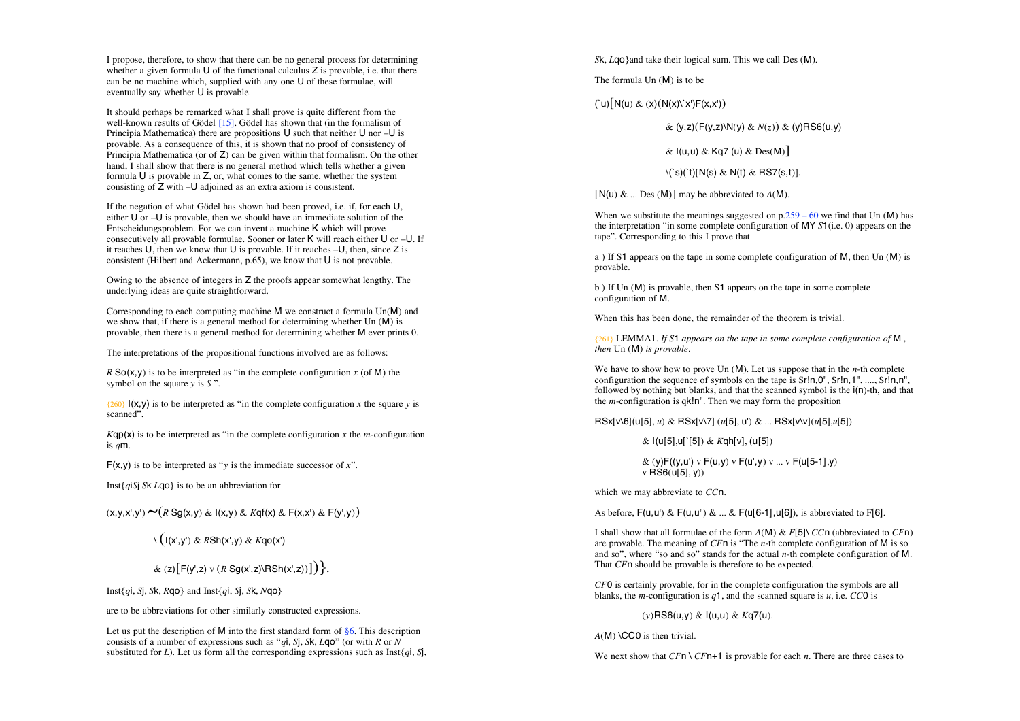I propose, therefore, to show that there can be no general process for determining whether a given formula U of the functional calculus Z is provable, i.e. that there can be no machine which, supplied with any one U of these formulae, will eventually say whether U is provable.

It should perhaps be remarked what I shall prove is quite different from the well-known results of Gödel [15]. Gödel has shown that (in the formalism of Principia Mathematica) there are propositions U such that neither U nor –U is provable. As a consequence of this, it is shown that no proof of consistency of Principia Mathematica (or of Z) can be given within that formalism. On the other hand, I shall show that there is no general method which tells whether a given formula U is provable in Z, or, what comes to the same, whether the system consisting of Z with –U adjoined as an extra axiom is consistent.

If the negation of what Gödel has shown had been proved, i.e. if, for each U, either  $U$  or  $-U$  is provable, then we should have an immediate solution of the Entscheidungsproblem. For we can invent a machine K which will prove consecutively all provable formulae. Sooner or later K will reach either U or –U. If it reaches  $U$ , then we know that U is provable. If it reaches  $-U$ , then, since Z is consistent (Hilbert and Ackermann,  $p.65$ ), we know that U is not provable.

Owing to the absence of integers in Z the proofs appear somewhat lengthy. The underlying ideas are quite straightforward.

Corresponding to each computing machine M we construct a formula Un(M) and we show that, if there is a general method for determining whether Un (M) is provable, then there is a general method for determining whether M ever prints 0.

The interpretations of the propositional functions involved are as follows:

*R* So( $x, y$ ) is to be interpreted as "in the complete configuration *x* (of M) the symbol on the square *y* is *S* ".

 $\{260\}$   $\{(x,y)$  is to be interpreted as "in the complete configuration *x* the square *y* is scanned".

 $Kqp(x)$  is to be interpreted as "in the complete configuration *x* the *m*-configuration is *q*m.

 $F(x, y)$  is to be interpreted as "*y* is the immediate successor of *x*".

Inst{*q*i*S*j *S*k *L*qo} is to be an abbreviation for

 $(x,y,x',y') \sim (R \text{ Sg}(x,y) \& \mathbf{I}(x,y) \& \mathbf{Kqf}(x) \& \mathbf{F}(x,x') \& \mathbf{F}(y',y))$ 

\(I(x',y') & *<sup>R</sup>*Sh(x',y) & *<sup>K</sup>*qo(x')

 $\&$  (z)  $[F(y', z) \vee (R Sg(x', z) \setminus RSh(x', z))]$ .

Inst{*q*i, *S*j, *S*k, *R*qo} and Inst{*q*i, *S*j, *S*k, *N*qo}

are to be abbreviations for other similarly constructed expressions.

Let us put the description of M into the first standard form of  $§6$ . This description consists of a number of expressions such as "*q*i, *S*j, *S*k, *L*qo" (or with *R* or *N* substituted for *L*). Let us form all the corresponding expressions such as Inst $\{q$ i, *S*j, *S*k, *L*qo}and take their logical sum. This we call Des (M).

The formula Un (M) is to be

 $\int \ln(N(u) \& (x) \left( N(x) \& Y \& T \& T \right)$ 

& (y,z)(F(y,z)\N(y) & *N*(*z*)) & (y)RS6(u,y)

&  $I(u, u)$  & Kq7 (u) & Des(M)

 $\binom{1}{s}(t)[N(s) \& N(t) \& RS7(s,t)].$ 

 $[N(u) \& \dots$  Des  $(M)]$  may be abbreviated to  $A(M)$ .

When we substitute the meanings suggested on  $p.259 - 60$  we find that Un (M) has the interpretation "in some complete configuration of MY *S*1(i.e. 0) appears on the tape". Corresponding to this I prove that

a ) If S1 appears on the tape in some complete configuration of M, then Un (M) is provable.

b ) If Un (M) is provable, then S1 appears on the tape in some complete configuration of M.

When this has been done, the remainder of the theorem is trivial.

{261} LEMMA1. *If S*1 *appears on the tape in some complete configuration of* M *, then* Un (M) *is provable.*

We have to show how to prove Un (M). Let us suppose that in the *n*-th complete configuration the sequence of symbols on the tape is Sr!n,0", Sr!n,1", ...., Sr!n,n", followed by nothing but blanks, and that the scanned symbol is the i(n)-th, and that the *m*-configuration is qk!n". Then we may form the proposition

RSx[v\6](u[5], *u*) & RSx[v\7] (*u*[5], u') & ... RSx[v\v](*u*[5],*u*[5])

& I(u[5],u[`[5]) & *K*qh[v], (u[5])

& (y)F((y,u') v F(u,y) v F(u',y) v ... v F(u[5-1],y)  $v$  RS6( $u[5]$ ,  $y$ ))

which we may abbreviate to *CC*n.

As before,  $F(u, u') \& F(u, u'') \& \dots \& F(u[6-1], u[6])$ , is abbreviated to  $F[6]$ .

I shall show that all formulae of the form *A*(M) & *F*[5]\ *CC*n (abbreviated to *CF*n) are provable. The meaning of *CF*n is "The *n*-th complete configuration of M is so and so", where "so and so" stands for the actual *n*-th complete configuration of M. That *CF*n should be provable is therefore to be expected.

*CF*0 is certainly provable, for in the complete configuration the symbols are all blanks, the *m*-configuration is  $q_1$ , and the scanned square is *u*, i.e. *CC* $\theta$  is

(*y*)RS6(u,y) & I(u,u) & *K*q7(u).

*A*(M) \CC0 is then trivial.

We next show that *CF*n \ *CF*n+1 is provable for each *n*. There are three cases to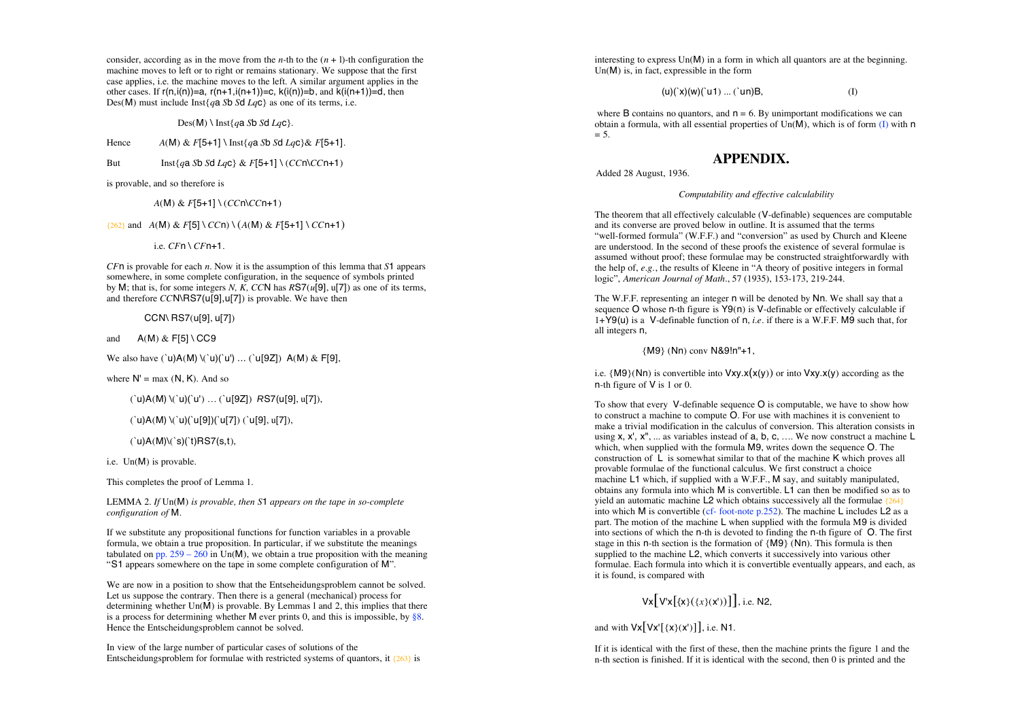consider, according as in the move from the *n*-th to the  $(n + 1)$ -th configuration the machine moves to left or to right or remains stationary. We suppose that the first case applies, i.e. the machine moves to the left. A similar argument applies in the other cases. If  $r(n,i(n))=a$ ,  $r(n+1,i(n+1))=c$ ,  $k(i(n))=b$ , and  $k(i(n+1))=d$ , then Des(M) must include Inst{*q*a *S*b *S*d *Lq*c} as one of its terms, i.e.

Des(M) \ Inst{*q*a *S*b *S*d *Lq*c}.

Hence  $A(M) \& F[5+1] \setminus \text{Inst}\{q\mathbf{a} \text{ } S\mathbf{b} \text{ } S\mathbf{d} \text{ } Lq\mathbf{c}\}\& F[5+1].$ 

But  $\text{Inst}\lbrace qa \text{ } Sb \text{ } Sd \text{ } Lqc \rbrace \& F[5+1] \setminus (CCn\setminus CCn+1)$ 

is provable, and so therefore is

*A*(M) & *F*[5+1] \ (*CC*n\*CC*n+1)

#### $\{262\}$  and *A*(M) & *F*[5] \ *CC*n) \ (*A*(M) & *F*[5+1] \ *CC*n+1)

 $i.e. CFn \setminus CFn+1$ .

*CF*n is provable for each *n*. Now it is the assumption of this lemma that *S*1 appears somewhere, in some complete configuration, in the sequence of symbols printed by M; that is, for some integers *N, K, CC*N has *R*S7(*u*[9], u[7]) as one of its terms, and therefore *CC*N\RS7(u[9],u[7]) is provable. We have then

CCN\ RS7(u[9], u[7])

and  $A(M)$  & F[5] \ CC9

We also have  $(u)A(M) \ (u)$  $(u)$ ...  $(u[9Z])$   $A(M)$  & F[9],

where  $N' = \max (N, K)$ . And so

 $($  u)A(M) \ $($  u) $($  u')  $...$   $($  u[9Z]) RS7 $($ u[9], u[7]),

(`u)A(M) \(`u)(`u[9])(`u[7]) (`u[9], u[7]),

 $(u)A(M)$  $(s)$  $(t)RS7(s,t)$ ,

i.e. Un(M) is provable.

This completes the proof of Lemma 1.

LEMMA 2. *If* Un(M) *is provable, then S*1 *appears on the tape in so-complete configuration of* M.

If we substitute any propositional functions for function variables in a provable formula, we obtain a true proposition. In particular, if we substitute the meanings tabulated on pp.  $259 - 260$  in Un(M), we obtain a true proposition with the meaning "S1 appears somewhere on the tape in some complete configuration of M".

We are now in a position to show that the Entseheidungsproblem cannot be solved. Let us suppose the contrary. Then there is a general (mechanical) process for determining whether  $Un(M)$  is provable. By Lemmas 1 and 2, this implies that there is a process for determining whether M ever prints 0, and this is impossible, by  $\S 8$ . Hence the Entscheidungsproblem cannot be solved.

In view of the large number of particular cases of solutions of the Entscheidungsproblem for formulae with restricted systems of quantors, it  $\{263\}$  is

interesting to express  $Un(M)$  in a form in which all quantors are at the beginning. Un(M) is, in fact, expressible in the form

 $(u)(x)(w)('u1) ... ('un)B,$  (I)

where B contains no quantors, and  $n = 6$ . By unimportant modifications we can obtain a formula, with all essential properties of  $Un(M)$ , which is of form  $(I)$  with n  $= 5.$ 

### **APPENDIX.**

Added 28 August, 1936.

### *Computability and effective calculability*

The theorem that all effectively calculable (V-definable) sequences are computable and its converse are proved below in outline. It is assumed that the terms "well-formed formula" (W.F.F.) and "conversion" as used by Church and Kleene are understood. In the second of these proofs the existence of several formulae is assumed without proof; these formulae may be constructed straightforwardly with the help of, *e.g.*, the results of Kleene in "A theory of positive integers in formal logic", *American Journal of Math*., 57 (1935), 153-173, 219-244.

The W.F.F. representing an integer n will be denoted by Nn. We shall say that a sequence O whose n-th figure is Y9(n) is V-definable or effectively calculable if 1+Y9(u) is a V-definable function of n, *i.e*. if there is a W.F.F. M9 such that, for all integers n,

{M9} (Nn) conv N&9!n"+1,

i.e.  $\{M9\}(Nn)$  is convertible into  $Vxy.x(x(y))$  or into  $Vxy.x(y)$  according as the n-th figure of V is 1 or 0.

To show that every V-definable sequence O is computable, we have to show how to construct a machine to compute O. For use with machines it is convenient to make a trivial modification in the calculus of conversion. This alteration consists in using  $x, x', x'', \ldots$  as variables instead of  $a, b, c, \ldots$ . We now construct a machine L which, when supplied with the formula M9, writes down the sequence O. The construction of L is somewhat similar to that of the machine K which proves all provable formulae of the functional calculus. We first construct a choice machine L1 which, if supplied with a W.F.F., M say, and suitably manipulated, obtains any formula into which M is convertible. L1 can then be modified so as to yield an automatic machine L2 which obtains successively all the formulae {264} into which M is convertible (cf- foot-note p.252). The machine L includes L2 as a part. The motion of the machine L when supplied with the formula M9 is divided into sections of which the n-th is devoted to finding the n-th figure of O. The first stage in this n-th section is the formation of  $\{M9\}$  (Nn). This formula is then supplied to the machine L2, which converts it successively into various other formulae. Each formula into which it is convertible eventually appears, and each, as it is found, is compared with

## $Vx[V'x[\{x\}(\{x\}(\mathbf{x}'))]$ , i.e. N2,

and with  $\forall x \{ \forall x'[\{x\}(x')\}$ , i.e. N1.

If it is identical with the first of these, then the machine prints the figure 1 and the n-th section is finished. If it is identical with the second, then 0 is printed and the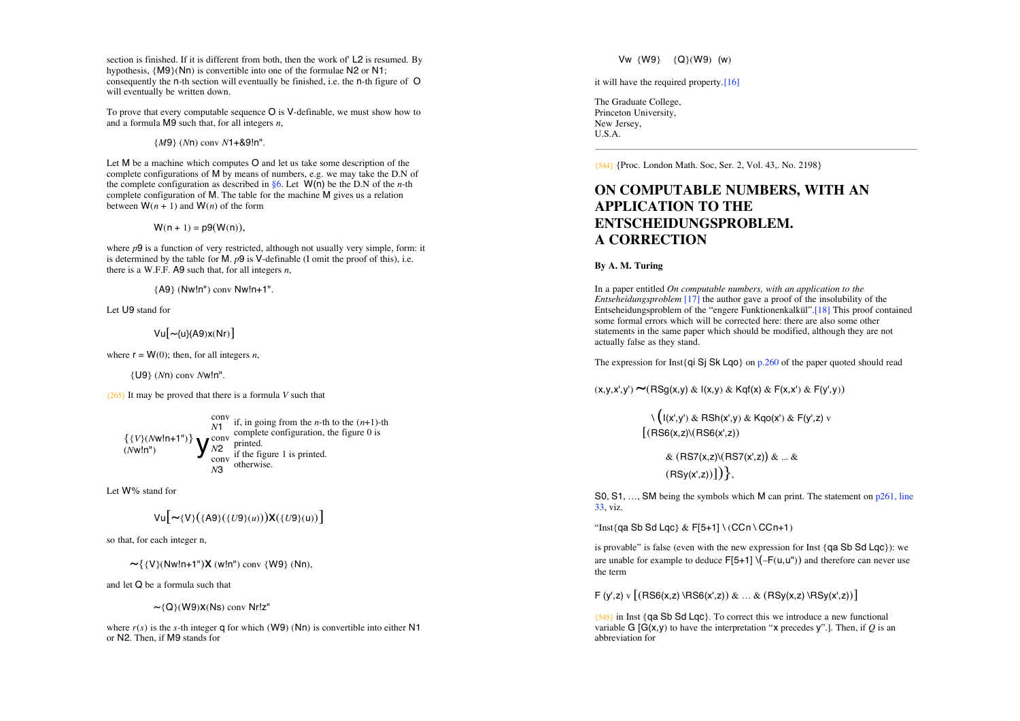section is finished. If it is different from both, then the work of' L2 is resumed. By hypothesis,  $\{M9\}(Nn)$  is convertible into one of the formulae N2 or N1; consequently the n-th section will eventually be finished, i.e. the n-th figure of  $\Omega$ will eventually be written down.

To prove that every computable sequence O is V-definable, we must show how to and a formula M9 such that, for all integers *n*,

{*M*9} (*N*n) conv *N*1+&9!n".

Let  $M$  be a machine which computes  $O$  and let us take some description of the complete configurations of M by means of numbers, e.g. we may take the D.N of the complete configuration as described in  $§6$ . Let  $W(n)$  be the D.N of the *n*-th complete configuration of M. The table for the machine M gives us a relation between  $W(n + 1)$  and  $W(n)$  of the form

 $W(n + 1) = p9(W(n)),$ 

where  $p9$  is a function of very restricted, although not usually very simple, form: it is determined by the table for M. *p*9 is V-definable (I omit the proof of this), i.e. there is a W.F.F. A9 such that, for all integers *n*,

{A9} (Nw!n") conv Nw!n+1".

Let U9 stand for

 $V\cup$ [ $\sim$ {u}(A9)x(Nr)]

where  $r = W(0)$ ; then, for all integers *n*,

{U9} (*N*n) conv *N*w!n".

{265} It may be proved that there is a formula *V* such that

{{*V*}(*N*w!n+1")} (*N*w!n") y *N*1 conv if, in going from the *n*-th to the  $(n+1)$ -th conv *N*2 conv *N*3 if, in going from the *n*-th to the (*n*+1)-th complete configuration, the figure 0 is printed. if the figure 1 is printed. otherwise.

Let W% stand for

 $V\left[\sim \{V\}\left(\{A9\}\left(\{U9\}(u)\right)\right)X\left(\{U9\}(u)\right)\right]$ 

so that, for each integer n,

 $\sim$ {{V}(Nw!n+1")**X** (w!n") conv {W9} (Nn),

and let Q be a formula such that

 $\sim$ {Q}(W9)X(Ns) conv Nr!z"

where  $r(s)$  is the *s*-th integer q for which (W9) (Nn) is convertible into either N1 or N2. Then, if M9 stands for

Vw {W9} {Q}(W9) (w)

it will have the required property.[16]

The Graduate College, Princeton University, New Jersey, U.S.A.

{544} {Proc. London Math. Soc, Ser. 2, Vol. 43,. No. 2198}

# **ON COMPUTABLE NUMBERS, WITH AN APPLICATION TO THE ENTSCHEIDUNGSPROBLEM. A CORRECTION**

### **By A. M. Turing**

In a paper entitled *On computable numbers, with an application to the Entseheidungsproblem* [17] the author gave a proof of the insolubility of the Entseheidungsproblem of the "engere Funktionenkalkül".[18] This proof contained some formal errors which will be corrected here: there are also some other statements in the same paper which should be modified, although they are not actually false as they stand.

The expression for Inst{qi Sj Sk Lqo} on  $p.260$  of the paper quoted should read

 $(x,y,x',y') \sim (RSq(x,y) \& I(x,y) \& Kqf(x) \& F(x,x') \& F(y',y))$ 

 $\setminus (I(x',y') \& RSh(x',y) \& Kqo(x') \& F(y',z)$ v  $[(RS6(x,z)\ (RS6(x',z))]$ 

> $\&$  (RS7(x,z)\(RS7(x',z))  $\&$  ...  $\&$  $(RSv(x',z))$ ] $),$

S0, S1, ..., SM being the symbols which M can print. The statement on  $p261$ , line 33, viz.

"Inst{qa Sb Sd Lqc} & F[5+1] \ (CCn \ CCn+1)

is provable" is false (even with the new expression for Inst {qa Sb Sd Lqc}): we are unable for example to deduce  $F[5+1] \ (F(u,u''))$  and therefore can never use the term

 $F (y',z)$  v  $[(RS6(x,z) \setminus RS6(x',z))$  & … &  $(RSv(x,z) \setminus RSv(x',z))]$ 

{545} in Inst {qa Sb Sd Lqc}. To correct this we introduce a new functional variable G  $[G(x, y)]$  to have the interpretation "**x** precedes y".]. Then, if Q is an abbreviation for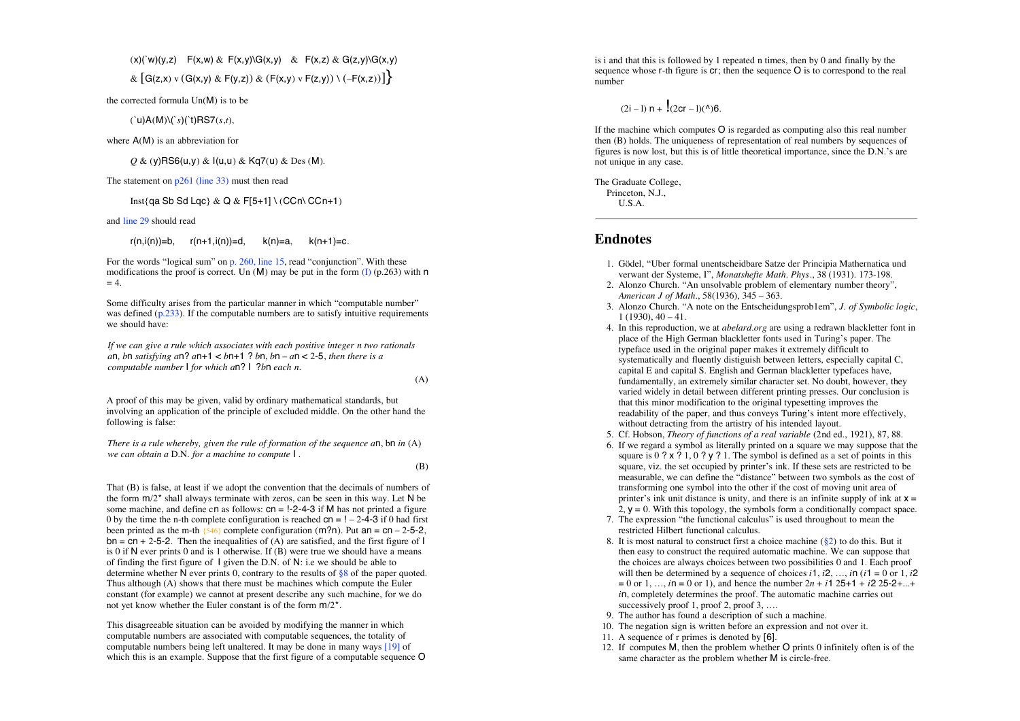$(x)(\forall y)(y,z)$  F(x,w) & F(x,y)\G(x,y) & F(x,z) & G(z,y)\G(x,y)

&  $[G(z,x) \vee (G(x,y) \& F(y,z)) \& (F(x,y) \vee F(z,y)) \setminus (-F(x,z))$ 

the corrected formula Un(M) is to be

(`u)A(M)\(`*s*)(`t)RS7(*s*,*t*),

where A(M) is an abbreviation for

*Q* & (y)RS6(u,y) & I(u,u) & Kq7(u) & Des (M).

The statement on  $p261$  (line 33) must then read

Inst{qa Sb Sd Lqc} & Q & F[5+1] \ (CCn\ CCn+1)

and line 29 should read

 $r(n,i(n))=b$ ,  $r(n+1,i(n))=d$ ,  $k(n)=a$ ,  $k(n+1)=c$ .

For the words "logical sum" on p. 260, line 15, read "conjunction". With these modifications the proof is correct. Un  $(M)$  may be put in the form  $(I)$  (p.263) with n  $= 4.$ 

Some difficulty arises from the particular manner in which "computable number" was defined  $(p.233)$ . If the computable numbers are to satisfy intuitive requirements we should have:

*If we can give a rule which associates with each positive integer n two rationals a*n*, b*n *satisfying a*n? *a*n+1 < *b*n+1 ? *b*n, *b*n – *a*n < 2-5, *then there is a computable number* I *for which a*n? I ?*b*n *each n.*

(A)

A proof of this may be given, valid by ordinary mathematical standards, but involving an application of the principle of excluded middle. On the other hand the following is false:

*There is a rule whereby, given the rule of formation of the sequence a*n, bn *in* (A) *we can obtain a* D.N. *for a machine to compute* I *.*

(B)

That (B) is false, at least if we adopt the convention that the decimals of numbers of the form m/2\* shall always terminate with zeros, can be seen in this way. Let N be some machine, and define cn as follows:  $cn = 1-2-4-3$  if M has not printed a figure 0 by the time the n-th complete configuration is reached  $cn = 1 - 2 - 4 - 3$  if 0 had first been printed as the m-th {546} complete configuration (m?n). Put  $an = cn - 2-5-2$ .  $bn = cn + 2-5-2$ . Then the inequalities of  $(A)$  are satisfied, and the first figure of I is 0 if N ever prints 0 and is 1 otherwise. If (B) were true we should have a means of finding the first figure of I given the D.N. of N: i.e we should be able to determine whether N ever prints 0, contrary to the results of §8 of the paper quoted. Thus although (A) shows that there must be machines which compute the Euler constant (for example) we cannot at present describe any such machine, for we do not yet know whether the Euler constant is of the form m/2\*.

This disagreeable situation can be avoided by modifying the manner in which computable numbers are associated with computable sequences, the totality of computable numbers being left unaltered. It may be done in many ways [19] of which this is an example. Suppose that the first figure of a computable sequence  $O$  is i and that this is followed by 1 repeated n times, then by 0 and finally by the sequence whose r-th figure is  $cr$ ; then the sequence O is to correspond to the real number

## $(2i - 1)$  n +  $(2cr - 1)(^{\wedge})6$ .

If the machine which computes O is regarded as computing also this real number then (B) holds. The uniqueness of representation of real numbers by sequences of figures is now lost, but this is of little theoretical importance, since the D.N.'s are not unique in any case.

The Graduate College, Princeton, N.J., U.S.A.

### **Endnotes**

- 1. Gödel, "Uber formal unentscheidbare Satze der Principia Mathernatica und verwant der Systeme, I", *Monatshefte Math. Phys*., 38 (1931). 173-198.
- 2. Alonzo Church. "An unsolvable problem of elementary number theory", *American J of Math*., 58(1936), 345 – 363.
- 3. Alonzo Church. "A note on the Entscheidungsprob1em", *J. of Symbolic logic*,  $1(1930), 40 - 41.$
- 4. In this reproduction, we at *abelard.org* are using a redrawn blackletter font in place of the High German blackletter fonts used in Turing's paper. The typeface used in the original paper makes it extremely difficult to systematically and fluently distiguish between letters, especially capital C, capital E and capital S. English and German blackletter typefaces have, fundamentally, an extremely similar character set. No doubt, however, they varied widely in detail between different printing presses. Our conclusion is that this minor modification to the original typesetting improves the readability of the paper, and thus conveys Turing's intent more effectively, without detracting from the artistry of his intended layout.
- 5. Cf. Hobson, *Theory of functions of a real variable* (2nd ed., 1921), 87, 88.
- 6. If we regard a symbol as literally printed on a square we may suppose that the square is  $0$  ?  $\times$  ? 1,  $0$  ?  $\times$  ? 1. The symbol is defined as a set of points in this square, viz. the set occupied by printer's ink. If these sets are restricted to be measurable, we can define the "distance" between two symbols as the cost of transforming one symbol into the other if the cost of moving unit area of printer's ink unit distance is unity, and there is an infinite supply of ink at  $x =$ 2,  $y = 0$ . With this topology, the symbols form a conditionally compact space.
- 7. The expression "the functional calculus" is used throughout to mean the restricted Hilbert functional calculus.
- 8. It is most natural to construct first a choice machine  $(\frac{8}{2})$  to do this. But it then easy to construct the required automatic machine. We can suppose that the choices are always choices between two possibilities 0 and 1. Each proof will then be determined by a sequence of choices  $i$ 1,  $i$ 2, ...,  $i$ n ( $i$ 1 = 0 or 1,  $i$ 2  $= 0$  or 1, ..., *i*n = 0 or 1), and hence the number  $2n + i1 25+1 + i2 25-2+...+$ *i*n, completely determines the proof. The automatic machine carries out successively proof 1, proof 2, proof 3, ...
- 9. The author has found a description of such a machine.
- 10. The negation sign is written before an expression and not over it.
- 11. A sequence of r primes is denoted by [6].
- 12. If computes M, then the problem whether O prints 0 infinitely often is of the same character as the problem whether M is circle-free.